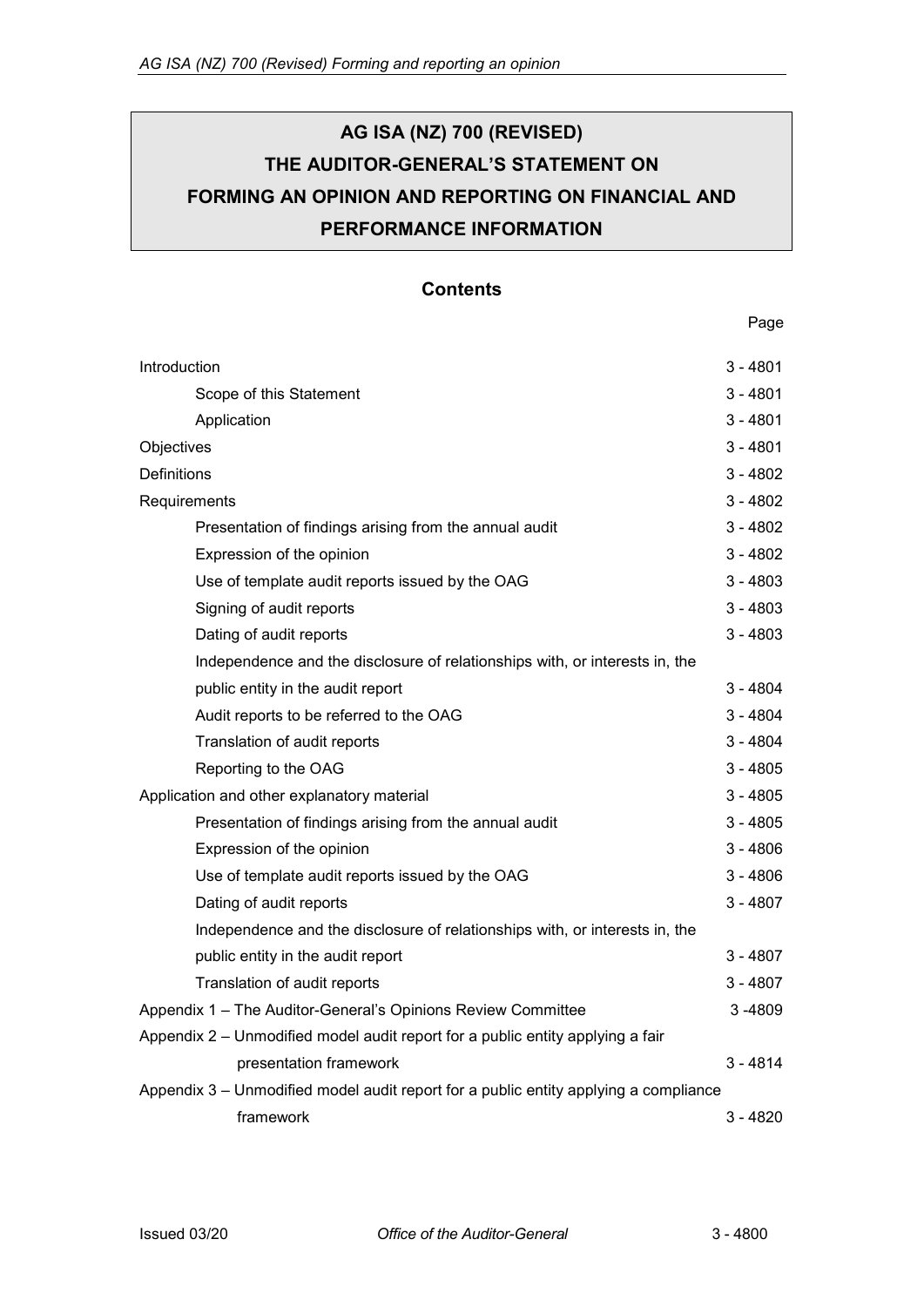# **AG ISA (NZ) 700 (REVISED) THE AUDITOR-GENERAL'S STATEMENT ON FORMING AN OPINION AND REPORTING ON FINANCIAL AND PERFORMANCE INFORMATION**

# **Contents**

#### Page

| Introduction                                                                         | $3 - 4801$ |
|--------------------------------------------------------------------------------------|------------|
| Scope of this Statement                                                              | $3 - 4801$ |
| Application                                                                          | $3 - 4801$ |
| Objectives                                                                           | $3 - 4801$ |
| <b>Definitions</b>                                                                   | $3 - 4802$ |
| Requirements                                                                         | $3 - 4802$ |
| Presentation of findings arising from the annual audit                               | $3 - 4802$ |
| Expression of the opinion                                                            | $3 - 4802$ |
| Use of template audit reports issued by the OAG                                      | $3 - 4803$ |
| Signing of audit reports                                                             | $3 - 4803$ |
| Dating of audit reports                                                              | $3 - 4803$ |
| Independence and the disclosure of relationships with, or interests in, the          |            |
| public entity in the audit report                                                    | $3 - 4804$ |
| Audit reports to be referred to the OAG                                              | $3 - 4804$ |
| Translation of audit reports                                                         | $3 - 4804$ |
| Reporting to the OAG                                                                 | $3 - 4805$ |
| Application and other explanatory material                                           | $3 - 4805$ |
| Presentation of findings arising from the annual audit                               | $3 - 4805$ |
| Expression of the opinion                                                            | $3 - 4806$ |
| Use of template audit reports issued by the OAG                                      | $3 - 4806$ |
| Dating of audit reports                                                              | $3 - 4807$ |
| Independence and the disclosure of relationships with, or interests in, the          |            |
| public entity in the audit report                                                    | $3 - 4807$ |
| Translation of audit reports                                                         | $3 - 4807$ |
| Appendix 1 - The Auditor-General's Opinions Review Committee                         | 3-4809     |
| Appendix 2 - Unmodified model audit report for a public entity applying a fair       |            |
| presentation framework                                                               | $3 - 4814$ |
| Appendix 3 - Unmodified model audit report for a public entity applying a compliance |            |
| framework                                                                            | 3 - 4820   |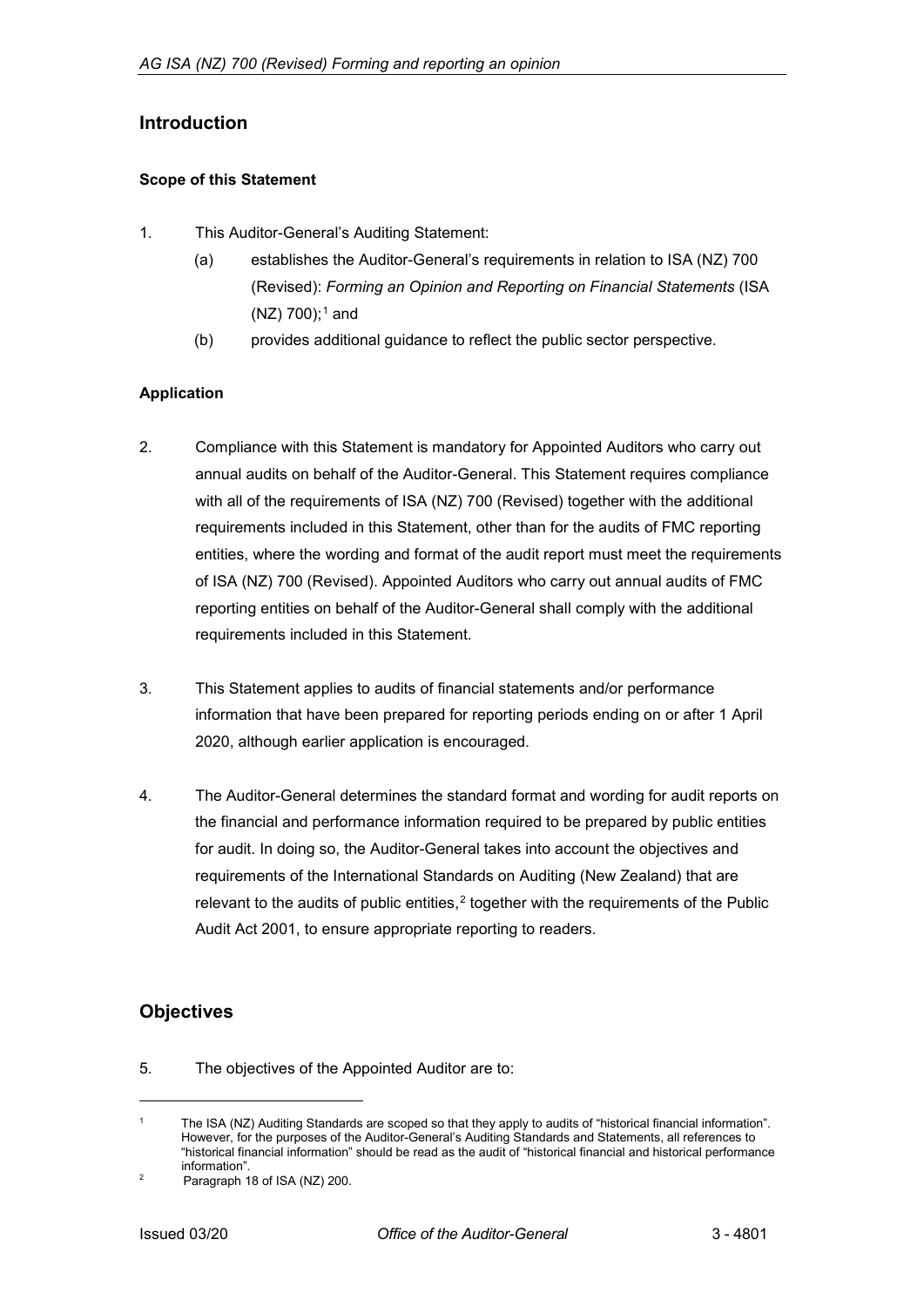# <span id="page-1-0"></span>**Introduction**

## <span id="page-1-1"></span>**Scope of this Statement**

- 1. This Auditor-General's Auditing Statement:
	- (a) establishes the Auditor-General's requirements in relation to ISA (NZ) 700 (Revised): *Forming an Opinion and Reporting on Financial Statements* (ISA  $(NZ)$  700);<sup>[1](#page-1-4)</sup> and
	- (b) provides additional guidance to reflect the public sector perspective.

# <span id="page-1-2"></span>**Application**

- 2. Compliance with this Statement is mandatory for Appointed Auditors who carry out annual audits on behalf of the Auditor-General. This Statement requires compliance with all of the requirements of ISA (NZ) 700 (Revised) together with the additional requirements included in this Statement, other than for the audits of FMC reporting entities, where the wording and format of the audit report must meet the requirements of ISA (NZ) 700 (Revised). Appointed Auditors who carry out annual audits of FMC reporting entities on behalf of the Auditor-General shall comply with the additional requirements included in this Statement.
- 3. This Statement applies to audits of financial statements and/or performance information that have been prepared for reporting periods ending on or after 1 April 2020, although earlier application is encouraged.
- 4. The Auditor-General determines the standard format and wording for audit reports on the financial and performance information required to be prepared by public entities for audit. In doing so, the Auditor-General takes into account the objectives and requirements of the International Standards on Auditing (New Zealand) that are relevant to the audits of public entities, $2$  together with the requirements of the Public Audit Act 2001, to ensure appropriate reporting to readers.

# <span id="page-1-3"></span>**Objectives**

j

5. The objectives of the Appointed Auditor are to:

<span id="page-1-4"></span>The ISA (NZ) Auditing Standards are scoped so that they apply to audits of "historical financial information". However, for the purposes of the Auditor-General's Auditing Standards and Statements, all references to "historical financial information" should be read as the audit of "historical financial and historical performance information".

<span id="page-1-5"></span><sup>&</sup>lt;sup>2</sup> Paragraph 18 of ISA (NZ) 200.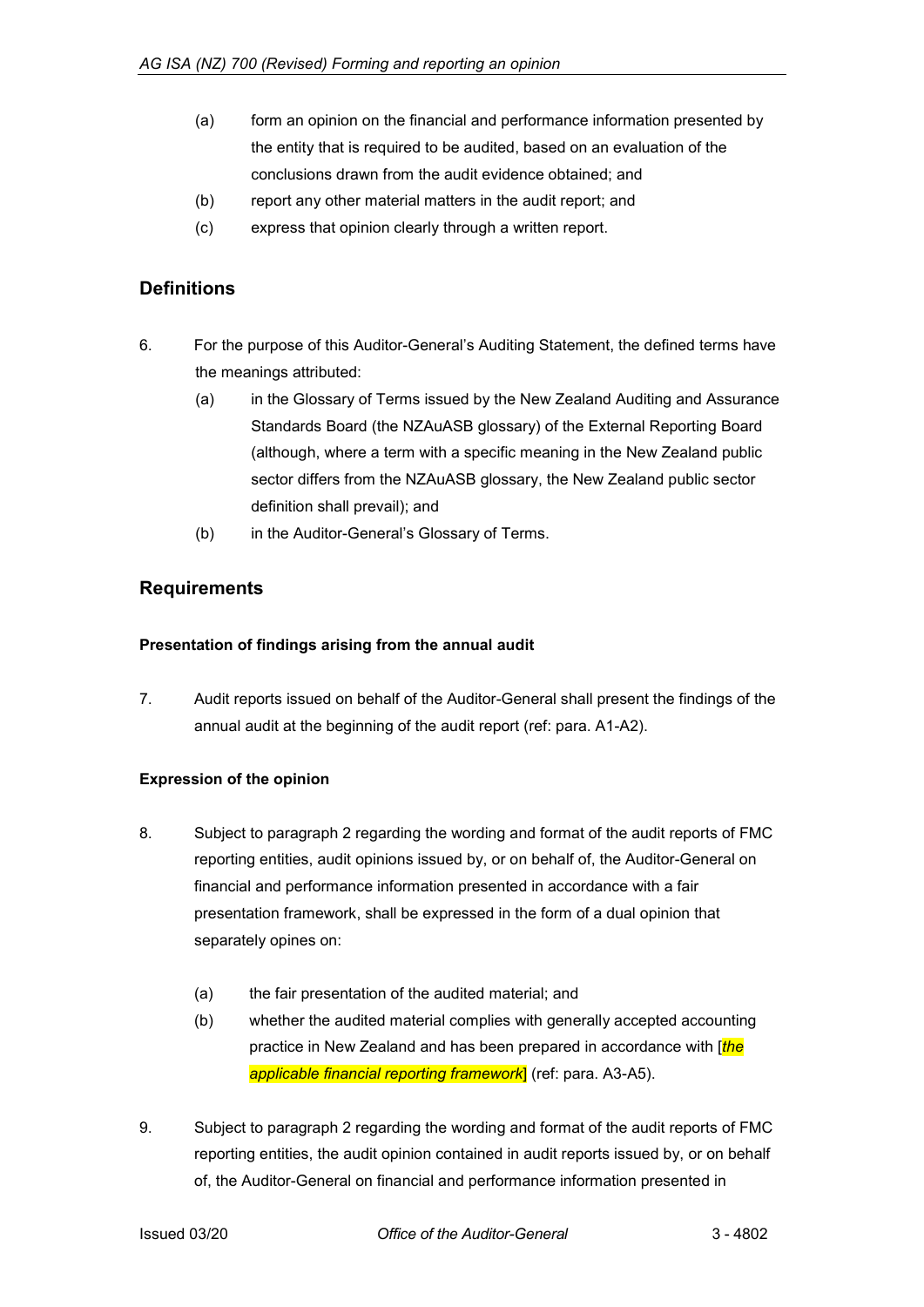- (a) form an opinion on the financial and performance information presented by the entity that is required to be audited, based on an evaluation of the conclusions drawn from the audit evidence obtained; and
- (b) report any other material matters in the audit report; and
- (c) express that opinion clearly through a written report.

# <span id="page-2-0"></span>**Definitions**

- 6. For the purpose of this Auditor-General's Auditing Statement, the defined terms have the meanings attributed:
	- (a) in the Glossary of Terms issued by the New Zealand Auditing and Assurance Standards Board (the NZAuASB glossary) of the External Reporting Board (although, where a term with a specific meaning in the New Zealand public sector differs from the NZAuASB glossary, the New Zealand public sector definition shall prevail); and
	- (b) in the Auditor-General's Glossary of Terms.

# <span id="page-2-1"></span>**Requirements**

### <span id="page-2-2"></span>**Presentation of findings arising from the annual audit**

7. Audit reports issued on behalf of the Auditor-General shall present the findings of the annual audit at the beginning of the audit report (ref: para. A1-A2).

### <span id="page-2-3"></span>**Expression of the opinion**

- 8. Subject to paragraph 2 regarding the wording and format of the audit reports of FMC reporting entities, audit opinions issued by, or on behalf of, the Auditor-General on financial and performance information presented in accordance with a fair presentation framework, shall be expressed in the form of a dual opinion that separately opines on:
	- (a) the fair presentation of the audited material; and
	- (b) whether the audited material complies with generally accepted accounting practice in New Zealand and has been prepared in accordance with [*the applicable financial reporting framework*] (ref: para. A3-A5).
- 9. Subject to paragraph 2 regarding the wording and format of the audit reports of FMC reporting entities, the audit opinion contained in audit reports issued by, or on behalf of, the Auditor-General on financial and performance information presented in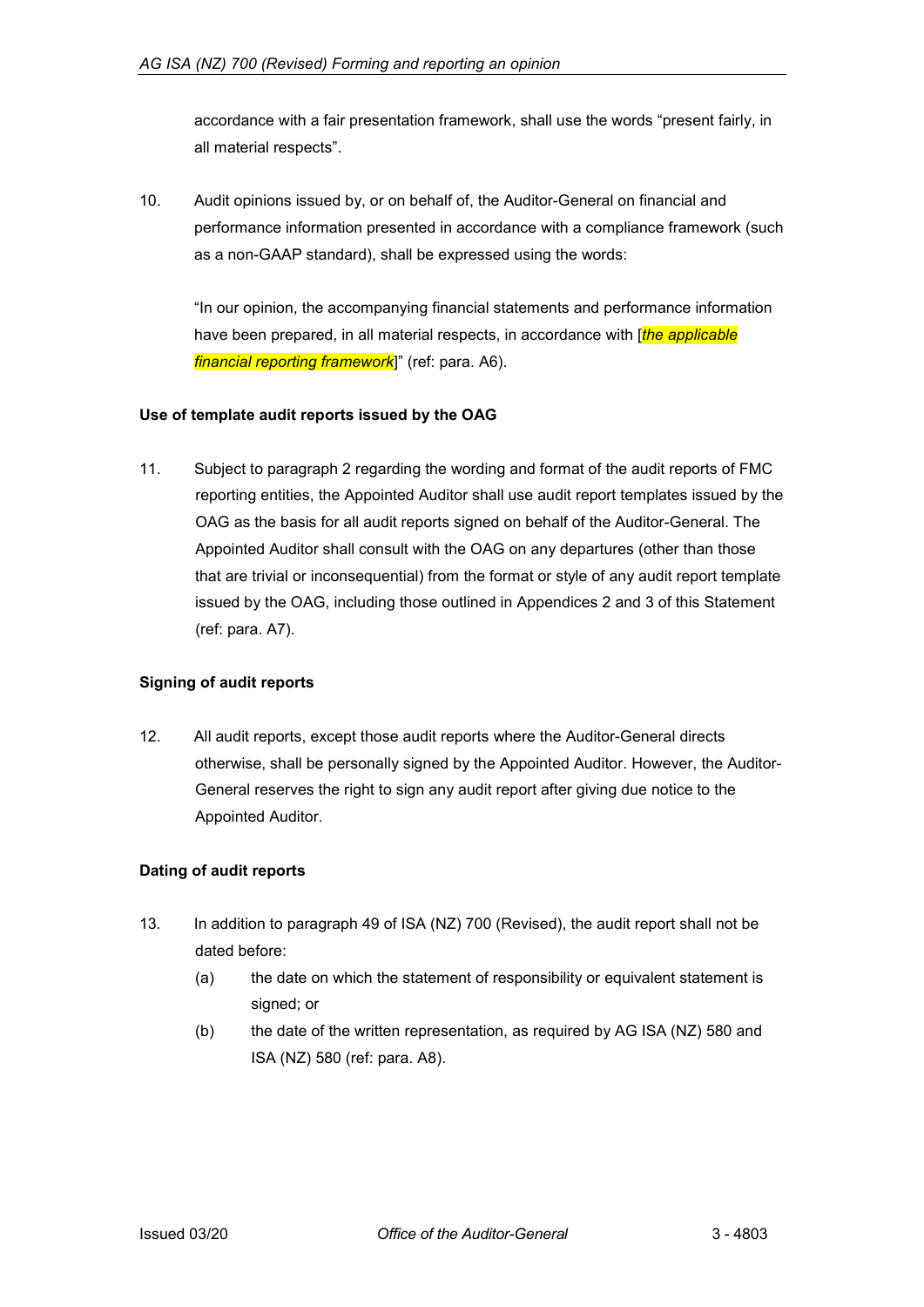accordance with a fair presentation framework, shall use the words "present fairly, in all material respects".

10. Audit opinions issued by, or on behalf of, the Auditor-General on financial and performance information presented in accordance with a compliance framework (such as a non-GAAP standard), shall be expressed using the words:

"In our opinion, the accompanying financial statements and performance information have been prepared, in all material respects, in accordance with [*the applicable financial reporting framework*]" (ref: para. A6).

## <span id="page-3-0"></span>**Use of template audit reports issued by the OAG**

11. Subject to paragraph 2 regarding the wording and format of the audit reports of FMC reporting entities, the Appointed Auditor shall use audit report templates issued by the OAG as the basis for all audit reports signed on behalf of the Auditor-General. The Appointed Auditor shall consult with the OAG on any departures (other than those that are trivial or inconsequential) from the format or style of any audit report template issued by the OAG, including those outlined in Appendices 2 and 3 of this Statement (ref: para. A7).

### <span id="page-3-1"></span>**Signing of audit reports**

12. All audit reports, except those audit reports where the Auditor-General directs otherwise, shall be personally signed by the Appointed Auditor. However, the Auditor-General reserves the right to sign any audit report after giving due notice to the Appointed Auditor.

# <span id="page-3-2"></span>**Dating of audit reports**

- <span id="page-3-3"></span>13. In addition to paragraph 49 of ISA (NZ) 700 (Revised), the audit report shall not be dated before:
	- (a) the date on which the statement of responsibility or equivalent statement is signed; or
	- (b) the date of the written representation, as required by AG ISA (NZ) 580 and ISA (NZ) 580 (ref: para. A8).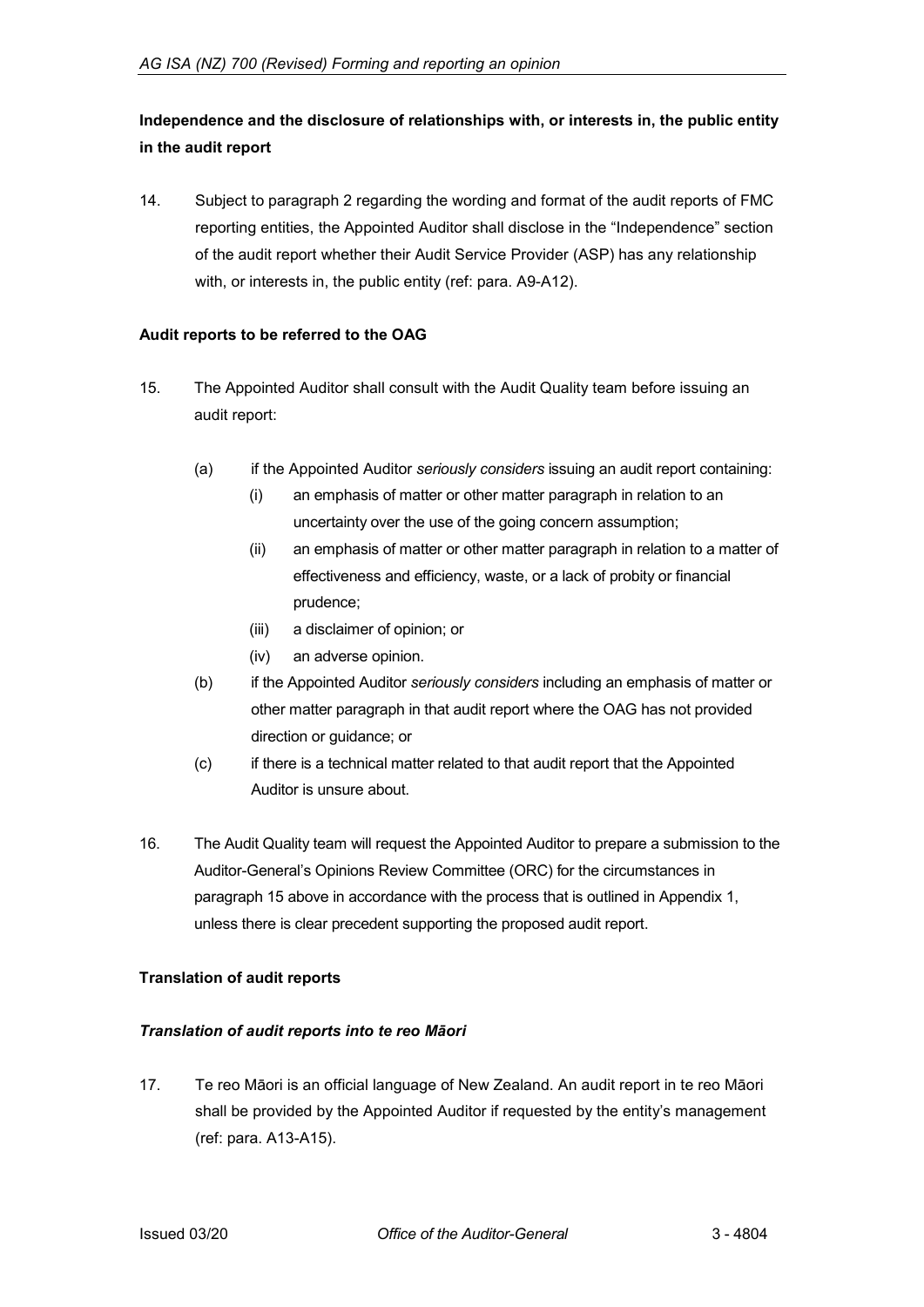# **Independence and the disclosure of relationships with, or interests in, the public entity in the audit report**

14. Subject to paragraph 2 regarding the wording and format of the audit reports of FMC reporting entities, the Appointed Auditor shall disclose in the "Independence" section of the audit report whether their Audit Service Provider (ASP) has any relationship with, or interests in, the public entity (ref: para. A9-A12).

## <span id="page-4-0"></span>**Audit reports to be referred to the OAG**

- 15. The Appointed Auditor shall consult with the Audit Quality team before issuing an audit report:
	- (a) if the Appointed Auditor *seriously considers* issuing an audit report containing:
		- (i) an emphasis of matter or other matter paragraph in relation to an uncertainty over the use of the going concern assumption;
		- (ii) an emphasis of matter or other matter paragraph in relation to a matter of effectiveness and efficiency, waste, or a lack of probity or financial prudence;
		- (iii) a disclaimer of opinion; or
		- (iv) an adverse opinion.
	- (b) if the Appointed Auditor *seriously considers* including an emphasis of matter or other matter paragraph in that audit report where the OAG has not provided direction or guidance; or
	- (c) if there is a technical matter related to that audit report that the Appointed Auditor is unsure about.
- 16. The Audit Quality team will request the Appointed Auditor to prepare a submission to the Auditor-General's Opinions Review Committee (ORC) for the circumstances in paragraph 15 above in accordance with the process that is outlined in Appendix 1, unless there is clear precedent supporting the proposed audit report.

### <span id="page-4-1"></span>**Translation of audit reports**

### *Translation of audit reports into te reo Māori*

17. Te reo Māori is an official language of New Zealand. An audit report in te reo Māori shall be provided by the Appointed Auditor if requested by the entity's management (ref: para. A13-A15).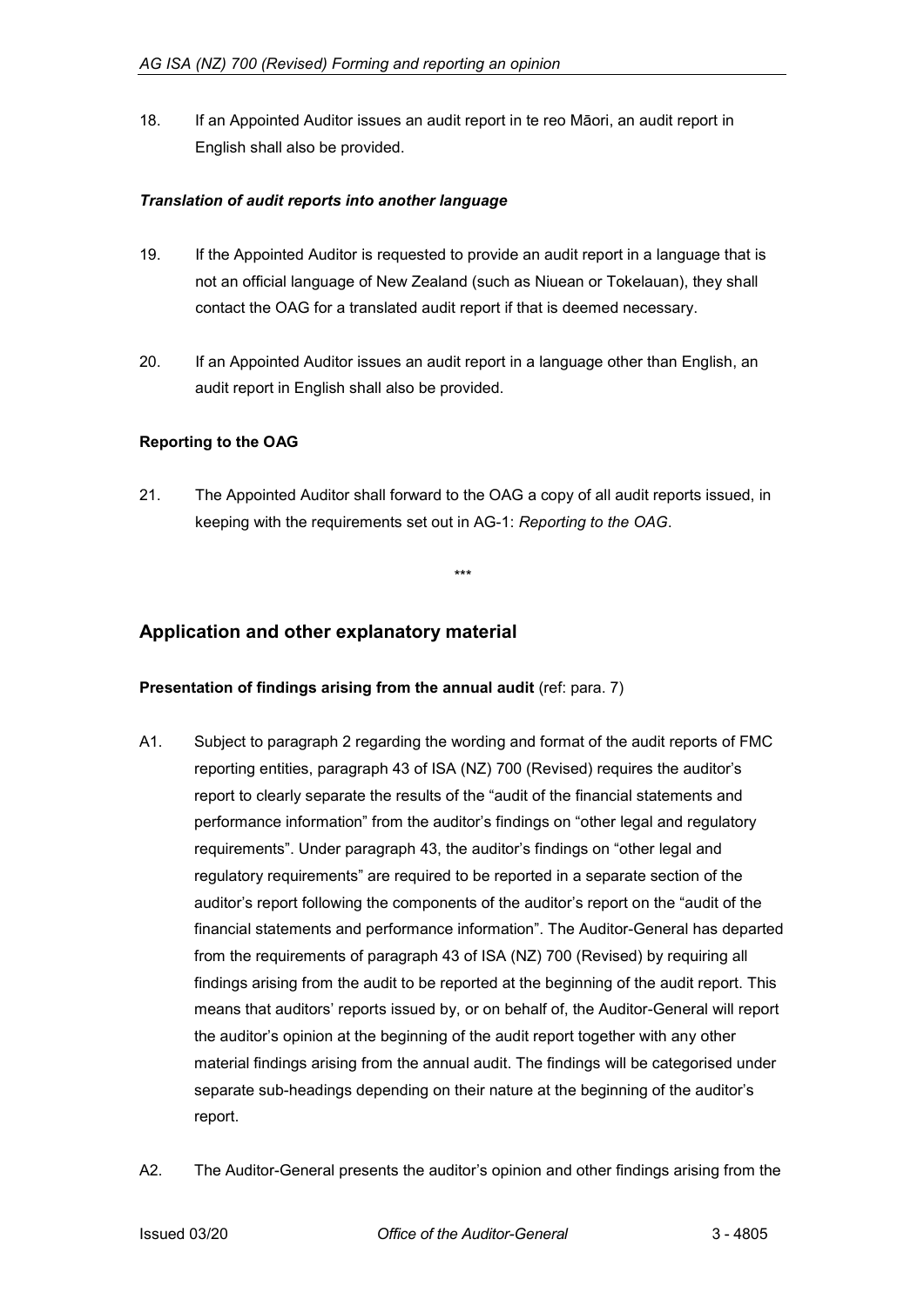18. If an Appointed Auditor issues an audit report in te reo Māori, an audit report in English shall also be provided.

## *Translation of audit reports into another language*

- 19. If the Appointed Auditor is requested to provide an audit report in a language that is not an official language of New Zealand (such as Niuean or Tokelauan), they shall contact the OAG for a translated audit report if that is deemed necessary.
- 20. If an Appointed Auditor issues an audit report in a language other than English, an audit report in English shall also be provided.

# <span id="page-5-0"></span>**Reporting to the OAG**

21. The Appointed Auditor shall forward to the OAG a copy of all audit reports issued, in keeping with the requirements set out in AG-1: *Reporting to the OAG*.

*\*\*\**

<span id="page-5-1"></span>**Application and other explanatory material**

### <span id="page-5-2"></span>**Presentation of findings arising from the annual audit** (ref: para. 7)

- A1. Subject to paragraph 2 regarding the wording and format of the audit reports of FMC reporting entities, paragraph 43 of ISA (NZ) 700 (Revised) requires the auditor's report to clearly separate the results of the "audit of the financial statements and performance information" from the auditor's findings on "other legal and regulatory requirements". Under paragraph 43, the auditor's findings on "other legal and regulatory requirements" are required to be reported in a separate section of the auditor's report following the components of the auditor's report on the "audit of the financial statements and performance information". The Auditor-General has departed from the requirements of paragraph 43 of ISA (NZ) 700 (Revised) by requiring all findings arising from the audit to be reported at the beginning of the audit report. This means that auditors' reports issued by, or on behalf of, the Auditor-General will report the auditor's opinion at the beginning of the audit report together with any other material findings arising from the annual audit. The findings will be categorised under separate sub-headings depending on their nature at the beginning of the auditor's report.
- A2. The Auditor-General presents the auditor's opinion and other findings arising from the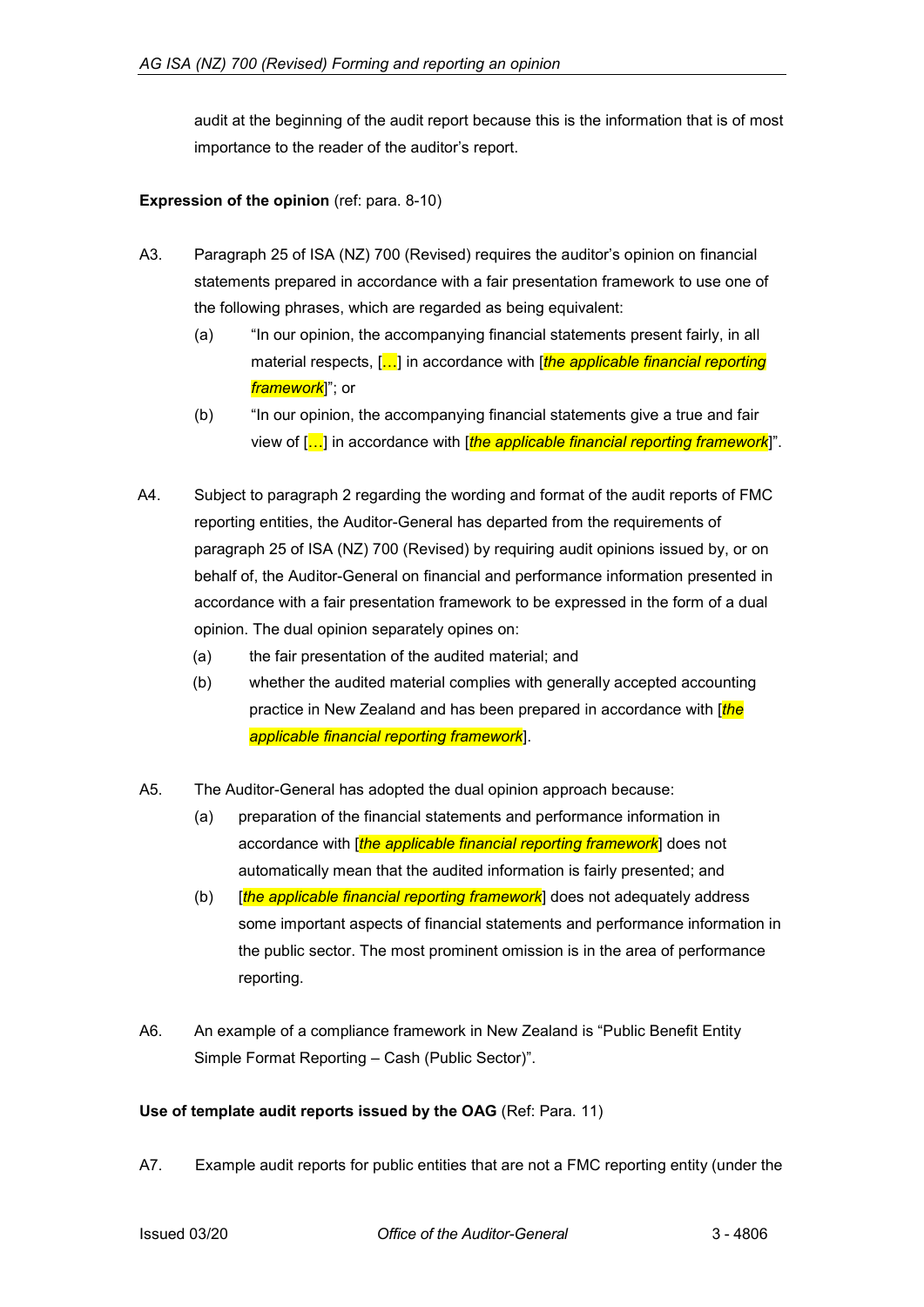audit at the beginning of the audit report because this is the information that is of most importance to the reader of the auditor's report.

### <span id="page-6-0"></span>**Expression of the opinion** (ref: para. 8-10)

- A3. Paragraph 25 of ISA (NZ) 700 (Revised) requires the auditor's opinion on financial statements prepared in accordance with a fair presentation framework to use one of the following phrases, which are regarded as being equivalent:
	- (a) "In our opinion, the accompanying financial statements present fairly, in all material respects, […] in accordance with [*the applicable financial reporting framework*]"; or
	- (b) "In our opinion, the accompanying financial statements give a true and fair view of […] in accordance with [*the applicable financial reporting framework*]".
- A4. Subject to paragraph 2 regarding the wording and format of the audit reports of FMC reporting entities, the Auditor-General has departed from the requirements of paragraph 25 of ISA (NZ) 700 (Revised) by requiring audit opinions issued by, or on behalf of, the Auditor-General on financial and performance information presented in accordance with a fair presentation framework to be expressed in the form of a dual opinion. The dual opinion separately opines on:
	- (a) the fair presentation of the audited material; and
	- (b) whether the audited material complies with generally accepted accounting practice in New Zealand and has been prepared in accordance with [*the applicable financial reporting framework*].
- A5. The Auditor-General has adopted the dual opinion approach because:
	- (a) preparation of the financial statements and performance information in accordance with [*the applicable financial reporting framework*] does not automatically mean that the audited information is fairly presented; and
	- (b) [*the applicable financial reporting framework*] does not adequately address some important aspects of financial statements and performance information in the public sector. The most prominent omission is in the area of performance reporting.
- A6. An example of a compliance framework in New Zealand is "Public Benefit Entity Simple Format Reporting – Cash (Public Sector)".

# <span id="page-6-1"></span>**Use of template audit reports issued by the OAG** (Ref: Para. 11)

A7. Example audit reports for public entities that are not a FMC reporting entity (under the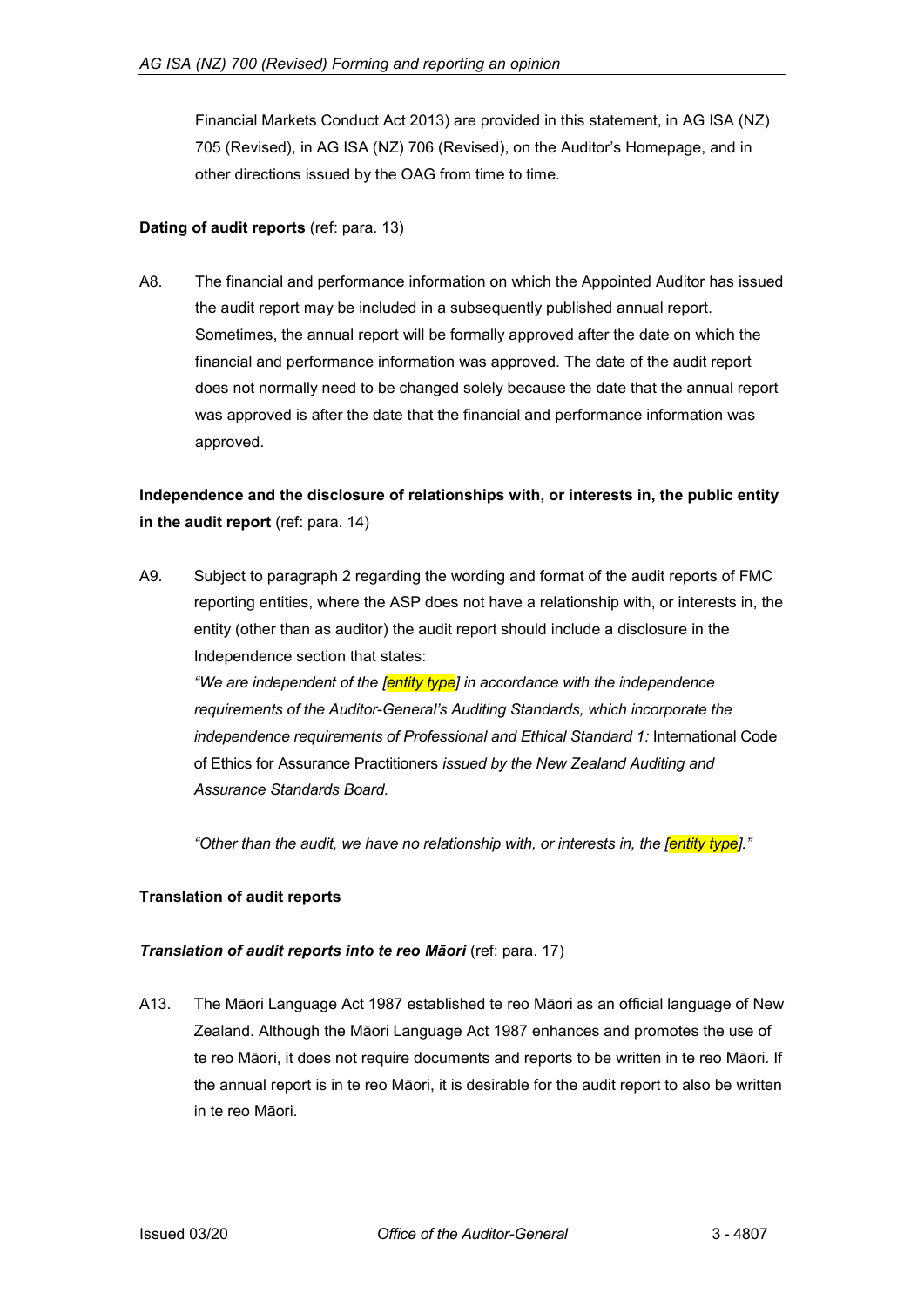Financial Markets Conduct Act 2013) are provided in this statement, in AG ISA (NZ) 705 (Revised), in AG ISA (NZ) 706 (Revised), on the Auditor's Homepage, and in other directions issued by the OAG from time to time.

### <span id="page-7-0"></span>**Dating of audit reports** (ref: para. 13)

A8. The financial and performance information on which the Appointed Auditor has issued the audit report may be included in a subsequently published annual report. Sometimes, the annual report will be formally approved after the date on which the financial and performance information was approved. The date of the audit report does not normally need to be changed solely because the date that the annual report was approved is after the date that the financial and performance information was approved.

# <span id="page-7-1"></span>**Independence and the disclosure of relationships with, or interests in, the public entity in the audit report** (ref: para. 14)

A9. Subject to paragraph 2 regarding the wording and format of the audit reports of FMC reporting entities, where the ASP does not have a relationship with, or interests in, the entity (other than as auditor) the audit report should include a disclosure in the Independence section that states:

*"We are independent of the [entity type] in accordance with the independence requirements of the Auditor-General's Auditing Standards, which incorporate the independence requirements of Professional and Ethical Standard 1:* International Code of Ethics for Assurance Practitioners *issued by the New Zealand Auditing and Assurance Standards Board.*

*"Other than the audit, we have no relationship with, or interests in, the [entity type]."*

# <span id="page-7-2"></span>**Translation of audit reports**

### *Translation of audit reports into te reo Māori* (ref: para. 17)

A13. The Māori Language Act 1987 established te reo Māori as an official language of New Zealand. Although the Māori Language Act 1987 enhances and promotes the use of te reo Māori, it does not require documents and reports to be written in te reo Māori. If the annual report is in te reo Māori, it is desirable for the audit report to also be written in te reo Māori.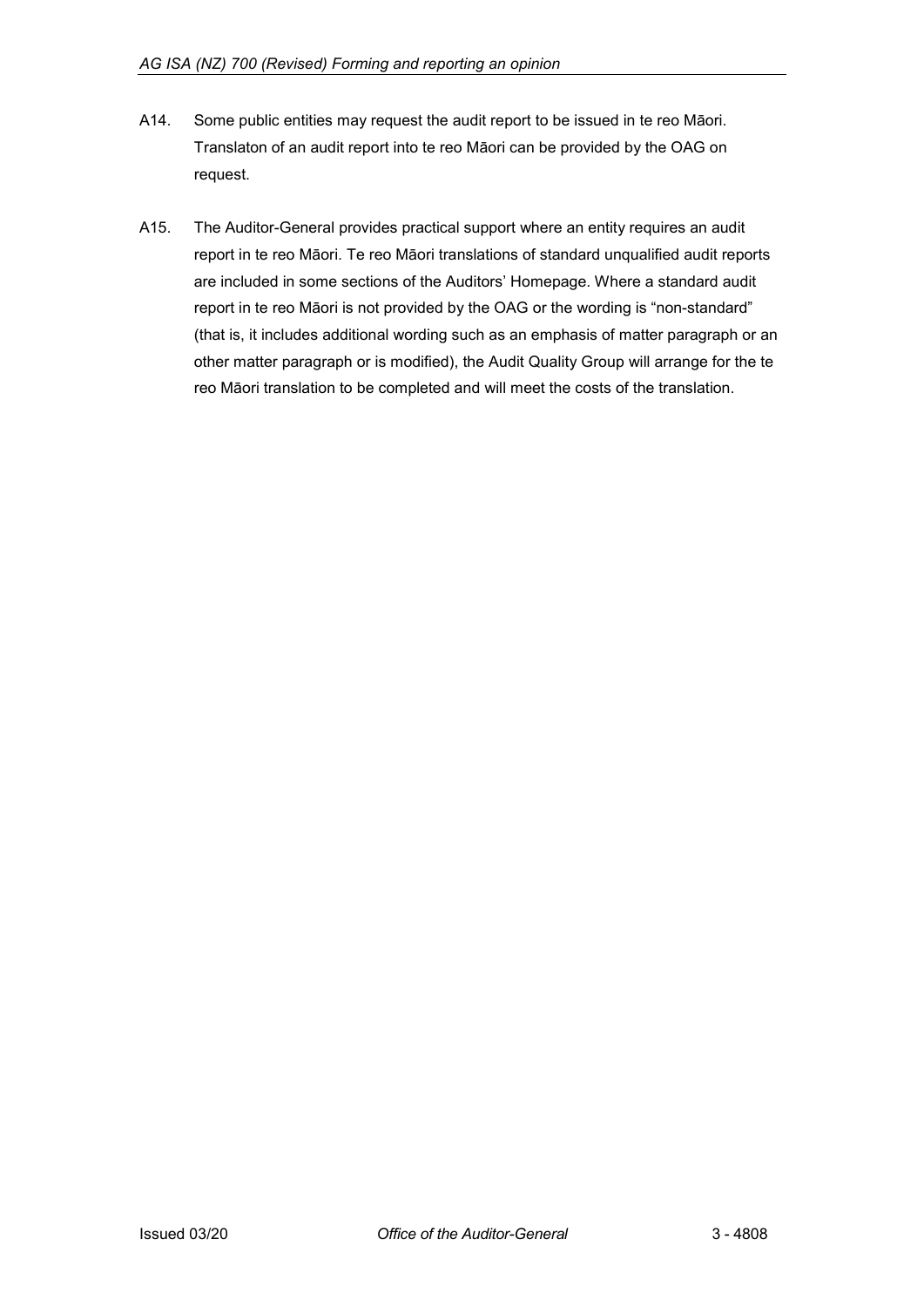- A14. Some public entities may request the audit report to be issued in te reo Māori. Translaton of an audit report into te reo Māori can be provided by the OAG on request.
- <span id="page-8-0"></span>A15. The Auditor-General provides practical support where an entity requires an audit report in te reo Māori. Te reo Māori translations of standard unqualified audit reports are included in some sections of the Auditors' Homepage. Where a standard audit report in te reo Māori is not provided by the OAG or the wording is "non-standard" (that is, it includes additional wording such as an emphasis of matter paragraph or an other matter paragraph or is modified), the Audit Quality Group will arrange for the te reo Māori translation to be completed and will meet the costs of the translation.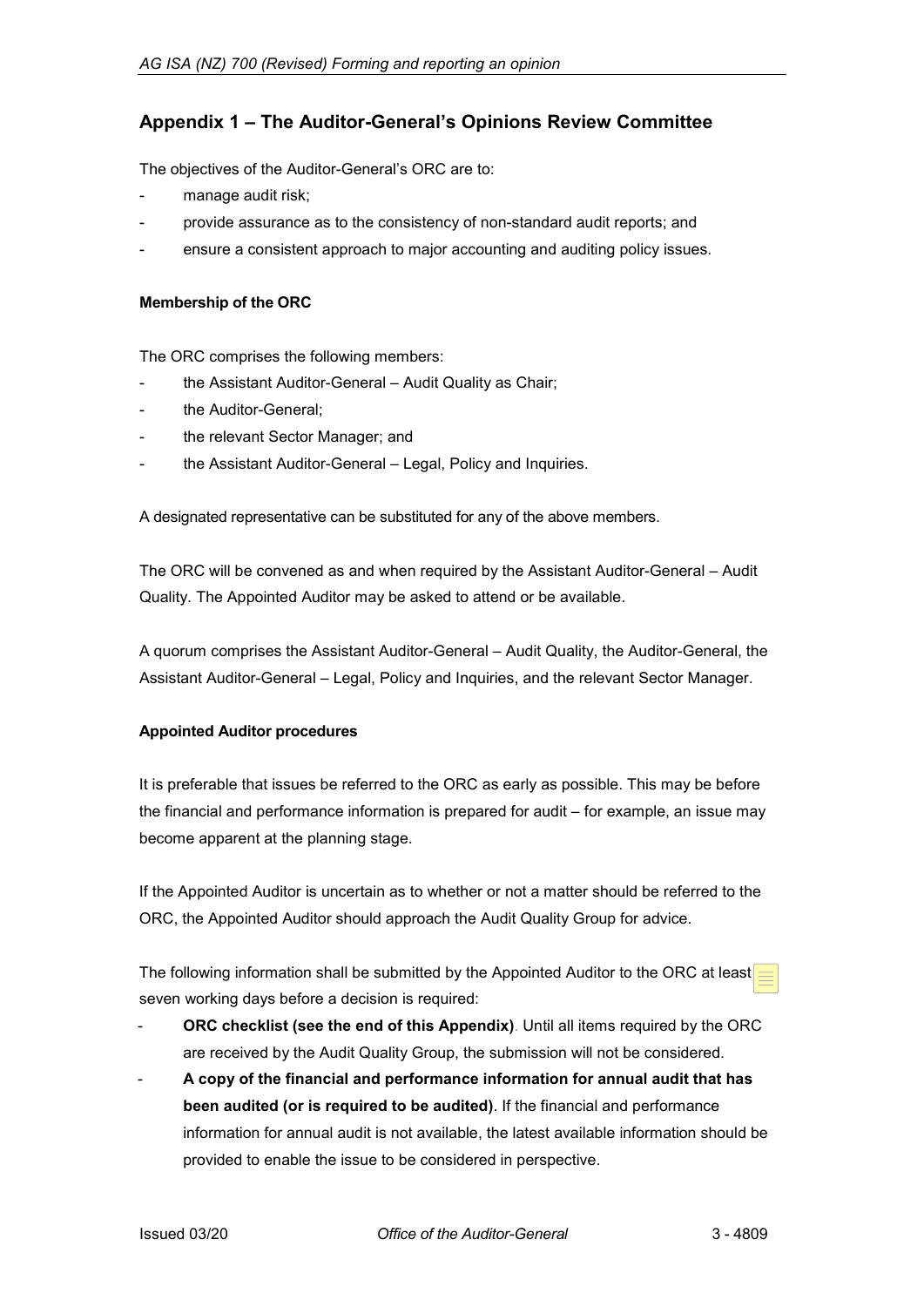# **Appendix 1 – The Auditor-General's Opinions Review Committee**

The objectives of the Auditor-General's ORC are to:

- manage audit risk;
- provide assurance as to the consistency of non-standard audit reports; and
- ensure a consistent approach to major accounting and auditing policy issues.

#### **Membership of the ORC**

The ORC comprises the following members:

- the Assistant Auditor-General Audit Quality as Chair;
- the Auditor-General:
- the relevant Sector Manager; and
- the Assistant Auditor-General Legal, Policy and Inquiries.

A designated representative can be substituted for any of the above members.

The ORC will be convened as and when required by the Assistant Auditor-General – Audit Quality. The Appointed Auditor may be asked to attend or be available.

A quorum comprises the Assistant Auditor-General – Audit Quality, the Auditor-General, the Assistant Auditor-General – Legal, Policy and Inquiries, and the relevant Sector Manager.

### **Appointed Auditor procedures**

It is preferable that issues be referred to the ORC as early as possible. This may be before the financial and performance information is prepared for audit – for example, an issue may become apparent at the planning stage.

If the Appointed Auditor is uncertain as to whether or not a matter should be referred to the ORC, the Appointed Auditor should approach the Audit Quality Group for advice.

The following information shall be submitted by the Appointed Auditor to the ORC at least seven working days before a decision is required:

- ORC checklist (see the end of this Appendix). Until all items required by the ORC are received by the Audit Quality Group, the submission will not be considered.
- **A copy of the financial and performance information for annual audit that has been audited (or is required to be audited)**. If the financial and performance information for annual audit is not available, the latest available information should be provided to enable the issue to be considered in perspective.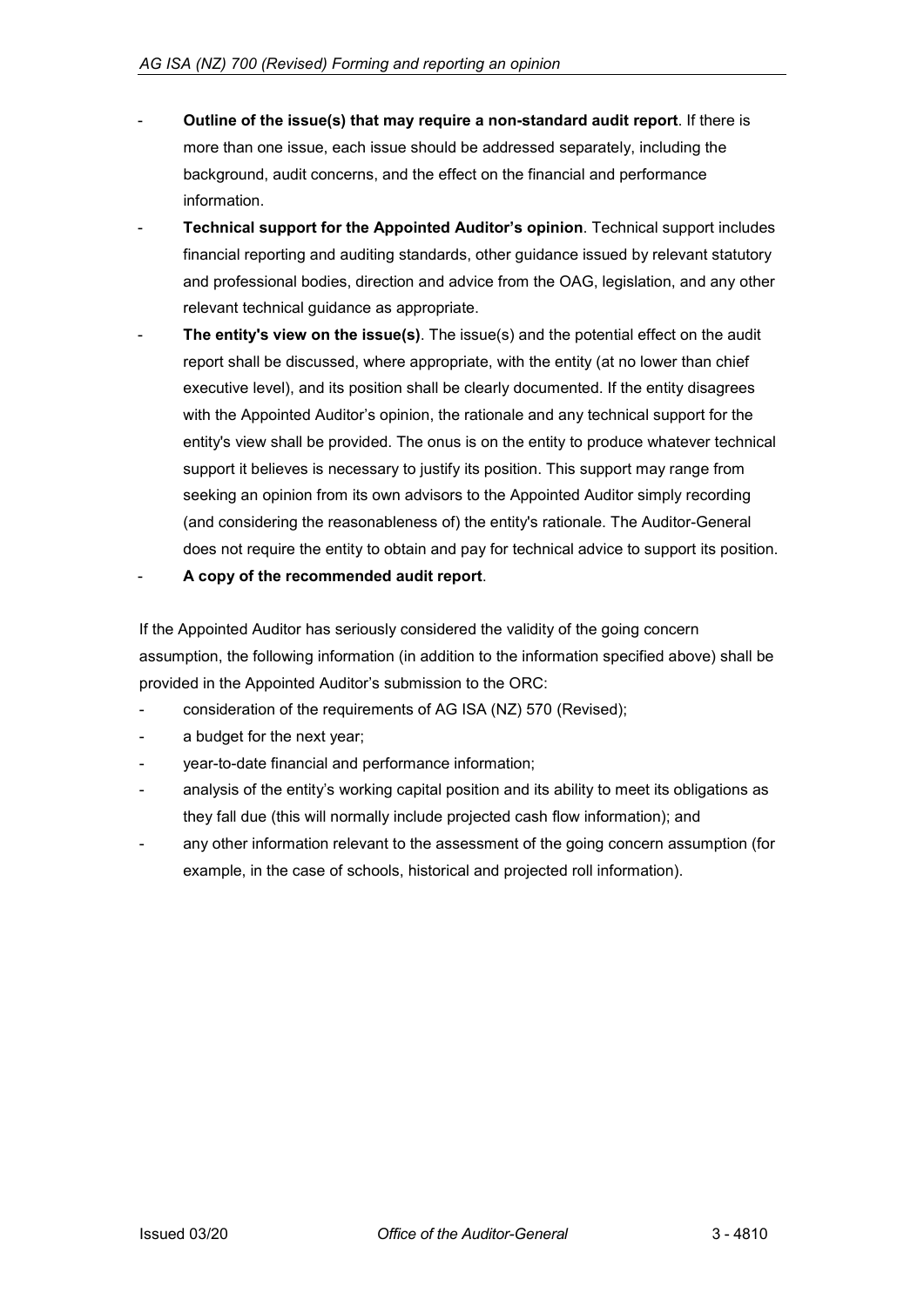- **Outline of the issue(s) that may require a non-standard audit report**. If there is more than one issue, each issue should be addressed separately, including the background, audit concerns, and the effect on the financial and performance information.
- **Technical support for the Appointed Auditor's opinion**. Technical support includes financial reporting and auditing standards, other guidance issued by relevant statutory and professional bodies, direction and advice from the OAG, legislation, and any other relevant technical guidance as appropriate.
- **The entity's view on the issue(s)**. The issue(s) and the potential effect on the audit report shall be discussed, where appropriate, with the entity (at no lower than chief executive level), and its position shall be clearly documented. If the entity disagrees with the Appointed Auditor's opinion, the rationale and any technical support for the entity's view shall be provided. The onus is on the entity to produce whatever technical support it believes is necessary to justify its position. This support may range from seeking an opinion from its own advisors to the Appointed Auditor simply recording (and considering the reasonableness of) the entity's rationale. The Auditor-General does not require the entity to obtain and pay for technical advice to support its position.
- **A copy of the recommended audit report**.

If the Appointed Auditor has seriously considered the validity of the going concern assumption, the following information (in addition to the information specified above) shall be provided in the Appointed Auditor's submission to the ORC:

- consideration of the requirements of AG ISA (NZ) 570 (Revised);
- a budget for the next year;
- year-to-date financial and performance information;
- analysis of the entity's working capital position and its ability to meet its obligations as they fall due (this will normally include projected cash flow information); and
- any other information relevant to the assessment of the going concern assumption (for example, in the case of schools, historical and projected roll information).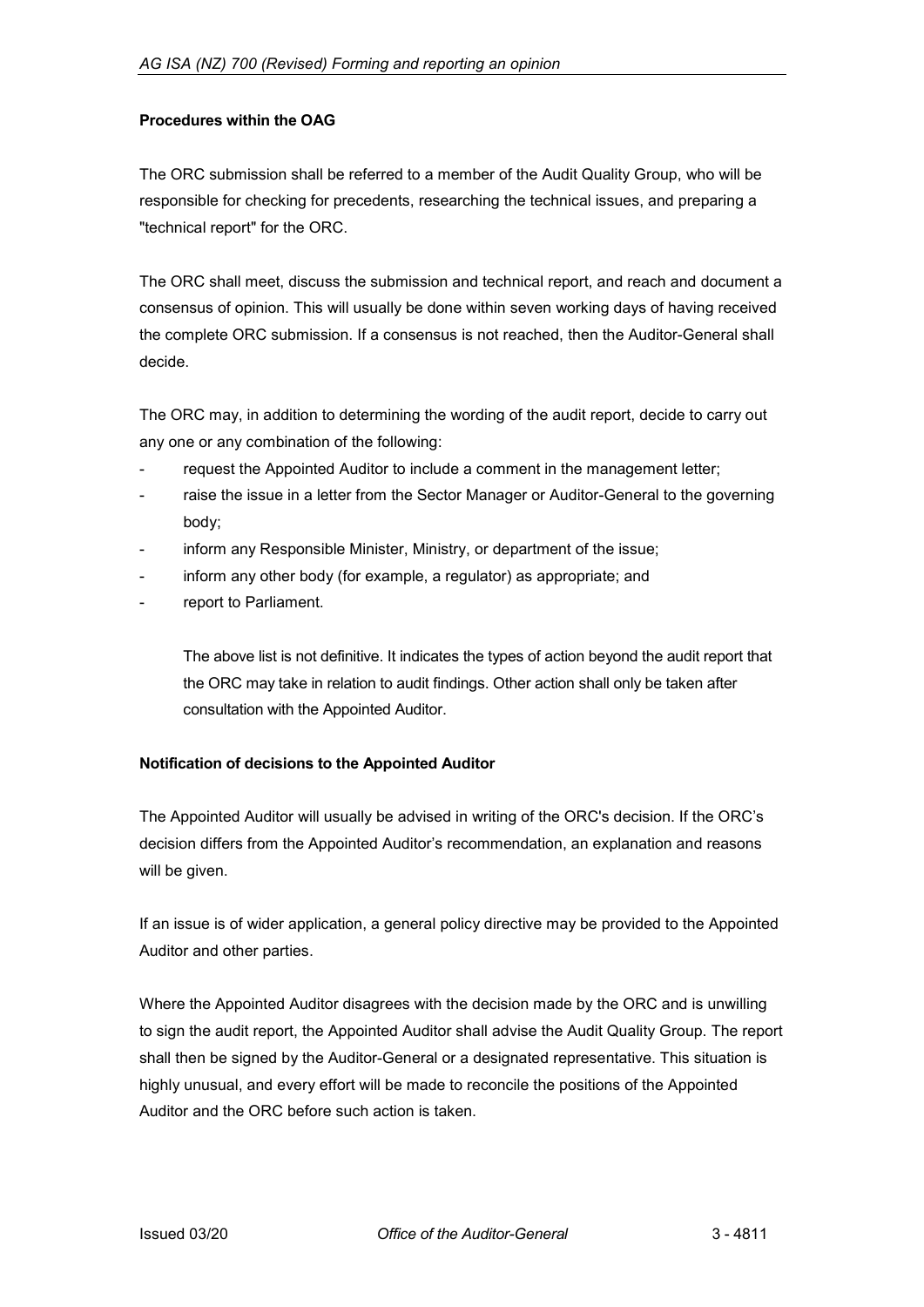### **Procedures within the OAG**

The ORC submission shall be referred to a member of the Audit Quality Group, who will be responsible for checking for precedents, researching the technical issues, and preparing a "technical report" for the ORC.

The ORC shall meet, discuss the submission and technical report, and reach and document a consensus of opinion. This will usually be done within seven working days of having received the complete ORC submission. If a consensus is not reached, then the Auditor-General shall decide.

The ORC may, in addition to determining the wording of the audit report, decide to carry out any one or any combination of the following:

- request the Appointed Auditor to include a comment in the management letter;
- raise the issue in a letter from the Sector Manager or Auditor-General to the governing body;
- inform any Responsible Minister, Ministry, or department of the issue;
- inform any other body (for example, a regulator) as appropriate; and
- report to Parliament.

The above list is not definitive. It indicates the types of action beyond the audit report that the ORC may take in relation to audit findings. Other action shall only be taken after consultation with the Appointed Auditor.

#### **Notification of decisions to the Appointed Auditor**

The Appointed Auditor will usually be advised in writing of the ORC's decision. If the ORC's decision differs from the Appointed Auditor's recommendation, an explanation and reasons will be given.

If an issue is of wider application, a general policy directive may be provided to the Appointed Auditor and other parties.

Where the Appointed Auditor disagrees with the decision made by the ORC and is unwilling to sign the audit report, the Appointed Auditor shall advise the Audit Quality Group. The report shall then be signed by the Auditor-General or a designated representative. This situation is highly unusual, and every effort will be made to reconcile the positions of the Appointed Auditor and the ORC before such action is taken.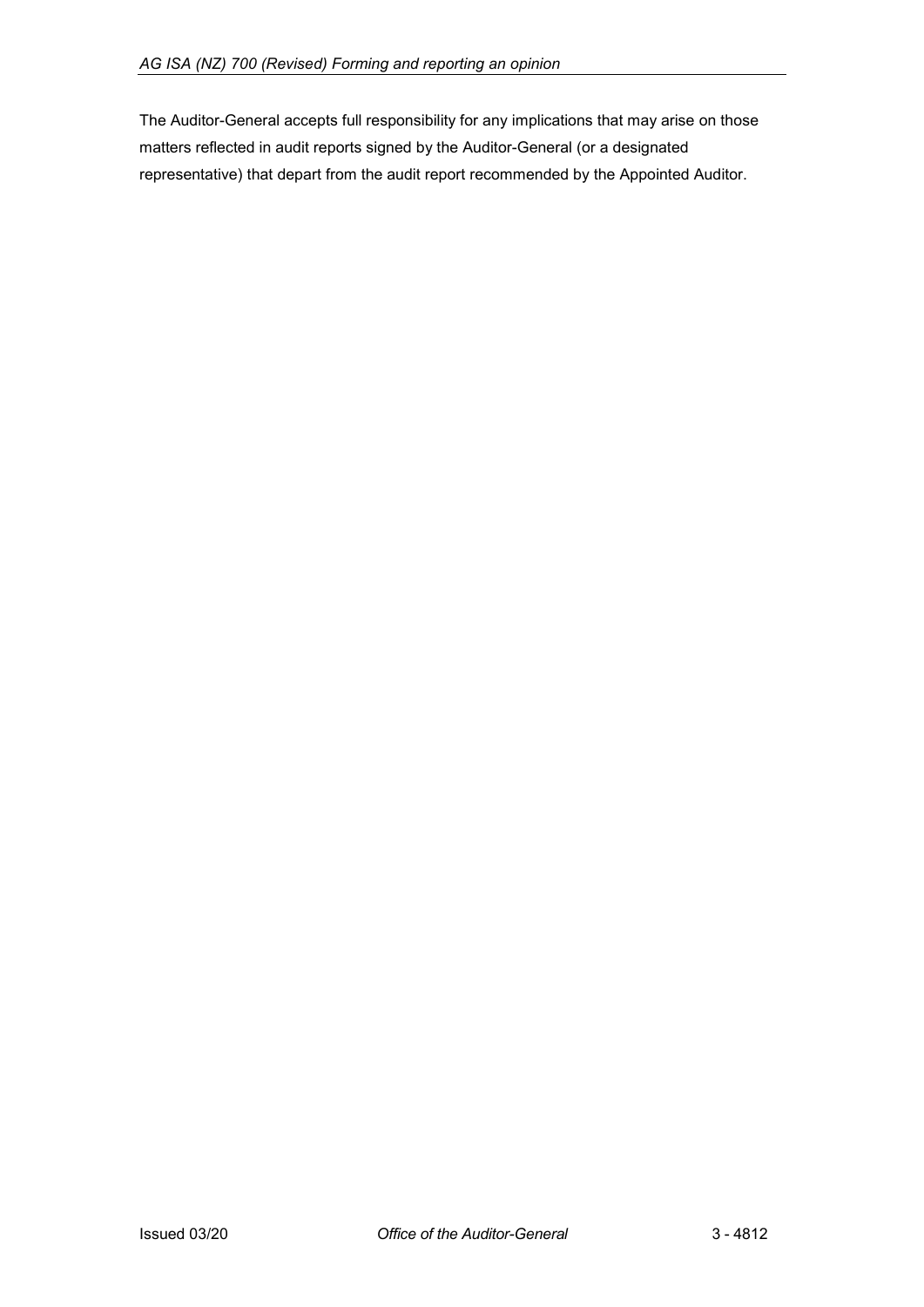The Auditor-General accepts full responsibility for any implications that may arise on those matters reflected in audit reports signed by the Auditor-General (or a designated representative) that depart from the audit report recommended by the Appointed Auditor.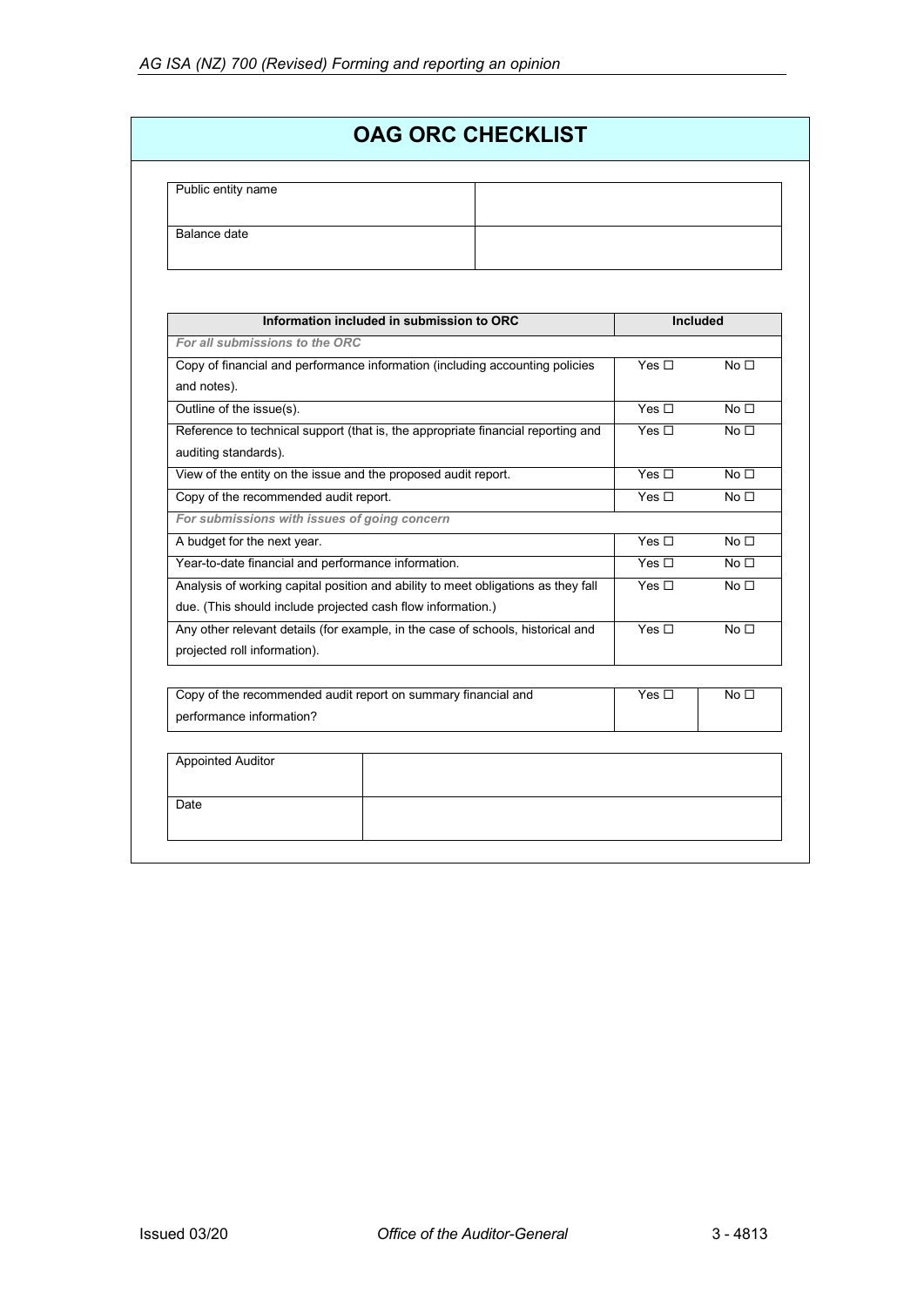| Public entity name |  |  |
|--------------------|--|--|
| Balance date       |  |  |
|                    |  |  |

| Information included in submission to ORC                                         | <b>Included</b> |                 |
|-----------------------------------------------------------------------------------|-----------------|-----------------|
| For all submissions to the ORC                                                    |                 |                 |
| Copy of financial and performance information (including accounting policies      | Yes $\Box$      | No <sub>1</sub> |
| and notes).                                                                       |                 |                 |
| Outline of the issue(s).                                                          | Yes $\Box$      | No <sub>1</sub> |
| Reference to technical support (that is, the appropriate financial reporting and  | Yes $\Box$      | No <sub>1</sub> |
| auditing standards).                                                              |                 |                 |
| View of the entity on the issue and the proposed audit report.                    | Yes $\Box$      | No <sub>1</sub> |
| Copy of the recommended audit report.                                             | Yes $\square$   | No <sub>1</sub> |
| For submissions with issues of going concern                                      |                 |                 |
| A budget for the next year.                                                       | Yes $\Box$      | No <sub>1</sub> |
| Year-to-date financial and performance information.                               |                 | No <sub>1</sub> |
| Analysis of working capital position and ability to meet obligations as they fall |                 | No <sub>1</sub> |
| due. (This should include projected cash flow information.)                       |                 |                 |
| Any other relevant details (for example, in the case of schools, historical and   | Yes $\Box$      | No <sub>1</sub> |
| projected roll information).                                                      |                 |                 |
|                                                                                   |                 |                 |
| Copy of the recommended audit report on summary financial and                     | Yes $\Box$      | No <sub>1</sub> |
| performance information?                                                          |                 |                 |
|                                                                                   |                 |                 |
| <b>Appointed Auditor</b>                                                          |                 |                 |
|                                                                                   |                 |                 |
| Date                                                                              |                 |                 |
|                                                                                   |                 |                 |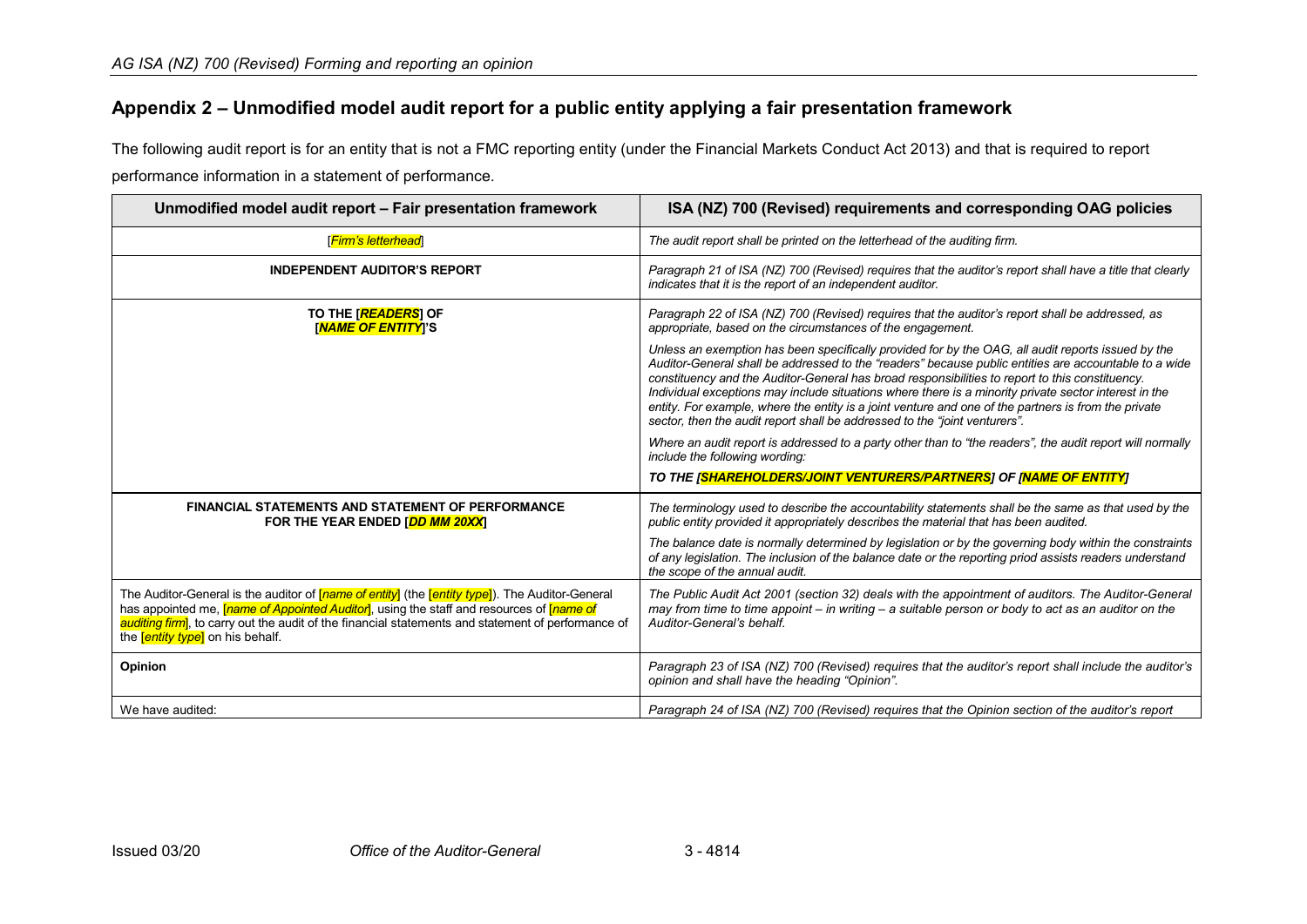# **Appendix 2 – Unmodified model audit report for a public entity applying a fair presentation framework**

The following audit report is for an entity that is not a FMC reporting entity (under the Financial Markets Conduct Act 2013) and that is required to report performance information in a statement of performance.

<span id="page-14-0"></span>

| Unmodified model audit report - Fair presentation framework                                                                                                                                                                                                                                                                                                               | ISA (NZ) 700 (Revised) requirements and corresponding OAG policies                                                                                                                                                                                                                                                                                                                                                                                                                                                                                                                                            |
|---------------------------------------------------------------------------------------------------------------------------------------------------------------------------------------------------------------------------------------------------------------------------------------------------------------------------------------------------------------------------|---------------------------------------------------------------------------------------------------------------------------------------------------------------------------------------------------------------------------------------------------------------------------------------------------------------------------------------------------------------------------------------------------------------------------------------------------------------------------------------------------------------------------------------------------------------------------------------------------------------|
| [Firm's letterhead]                                                                                                                                                                                                                                                                                                                                                       | The audit report shall be printed on the letterhead of the auditing firm.                                                                                                                                                                                                                                                                                                                                                                                                                                                                                                                                     |
| <b>INDEPENDENT AUDITOR'S REPORT</b>                                                                                                                                                                                                                                                                                                                                       | Paragraph 21 of ISA (NZ) 700 (Revised) requires that the auditor's report shall have a title that clearly<br>indicates that it is the report of an independent auditor.                                                                                                                                                                                                                                                                                                                                                                                                                                       |
| TO THE [READERS] OF<br><b>INAME OF ENTITY</b> I'S                                                                                                                                                                                                                                                                                                                         | Paragraph 22 of ISA (NZ) 700 (Revised) requires that the auditor's report shall be addressed, as<br>appropriate, based on the circumstances of the engagement.                                                                                                                                                                                                                                                                                                                                                                                                                                                |
|                                                                                                                                                                                                                                                                                                                                                                           | Unless an exemption has been specifically provided for by the OAG, all audit reports issued by the<br>Auditor-General shall be addressed to the "readers" because public entities are accountable to a wide<br>constituency and the Auditor-General has broad responsibilities to report to this constituency.<br>Individual exceptions may include situations where there is a minority private sector interest in the<br>entity. For example, where the entity is a joint venture and one of the partners is from the private<br>sector, then the audit report shall be addressed to the "joint venturers". |
|                                                                                                                                                                                                                                                                                                                                                                           | Where an audit report is addressed to a party other than to "the readers", the audit report will normally<br>include the following wording:                                                                                                                                                                                                                                                                                                                                                                                                                                                                   |
|                                                                                                                                                                                                                                                                                                                                                                           | TO THE [SHAREHOLDERS/JOINT VENTURERS/PARTNERS] OF [NAME OF ENTITY]                                                                                                                                                                                                                                                                                                                                                                                                                                                                                                                                            |
| <b>FINANCIAL STATEMENTS AND STATEMENT OF PERFORMANCE</b><br>FOR THE YEAR ENDED [DD MM 20XX]                                                                                                                                                                                                                                                                               | The terminology used to describe the accountability statements shall be the same as that used by the<br>public entity provided it appropriately describes the material that has been audited.                                                                                                                                                                                                                                                                                                                                                                                                                 |
|                                                                                                                                                                                                                                                                                                                                                                           | The balance date is normally determined by legislation or by the governing body within the constraints<br>of any legislation. The inclusion of the balance date or the reporting priod assists readers understand<br>the scope of the annual audit.                                                                                                                                                                                                                                                                                                                                                           |
| The Auditor-General is the auditor of <i>[name of entity]</i> (the <i>[entity type]</i> ). The Auditor-General<br>has appointed me, <i>[name of Appointed Auditor</i> ], using the staff and resources of <i>[name of</i><br>auditing firm, to carry out the audit of the financial statements and statement of performance of<br>the <b>[entity type]</b> on his behalf. | The Public Audit Act 2001 (section 32) deals with the appointment of auditors. The Auditor-General<br>may from time to time appoint $-$ in writing $-$ a suitable person or body to act as an auditor on the<br>Auditor-General's behalf.                                                                                                                                                                                                                                                                                                                                                                     |
| Opinion                                                                                                                                                                                                                                                                                                                                                                   | Paragraph 23 of ISA (NZ) 700 (Revised) requires that the auditor's report shall include the auditor's<br>opinion and shall have the heading "Opinion".                                                                                                                                                                                                                                                                                                                                                                                                                                                        |
| We have audited:                                                                                                                                                                                                                                                                                                                                                          | Paragraph 24 of ISA (NZ) 700 (Revised) requires that the Opinion section of the auditor's report                                                                                                                                                                                                                                                                                                                                                                                                                                                                                                              |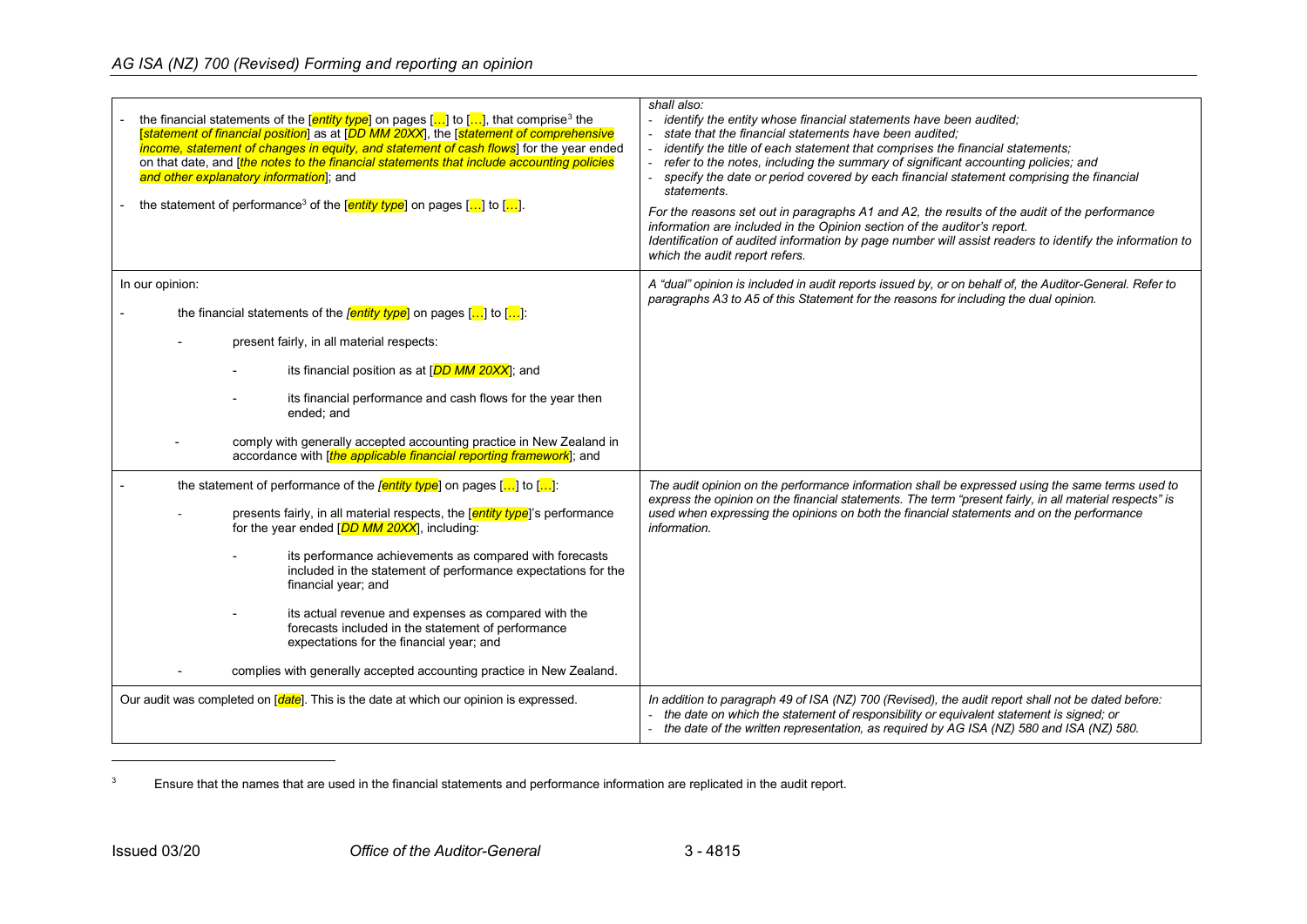# <span id="page-15-0"></span>*AG ISA (NZ) 700 (Revised) Forming and reporting an opinion*

| the financial statements of the $[$ <i>entity type</i> ] on pages $[]$ to $[]$ , that comprise <sup>3</sup> the<br>[statement of financial position] as at [DD MM 20XX], the [statement of comprehensive<br>income, statement of changes in equity, and statement of cash flows] for the year ended<br>on that date, and <i>[the notes to the financial statements that include accounting policies</i><br>and other explanatory information]; and<br>the statement of performance <sup>3</sup> of the $[$ <b>entity type</b> ] on pages $[]$ to $[]$ .                                                                             | shall also:<br>identify the entity whose financial statements have been audited;<br>- state that the financial statements have been audited:<br>identify the title of each statement that comprises the financial statements;<br>refer to the notes, including the summary of significant accounting policies; and<br>specify the date or period covered by each financial statement comprising the financial<br>statements.<br>For the reasons set out in paragraphs A1 and A2, the results of the audit of the performance<br>information are included in the Opinion section of the auditor's report.<br>Identification of audited information by page number will assist readers to identify the information to<br>which the audit report refers. |
|-------------------------------------------------------------------------------------------------------------------------------------------------------------------------------------------------------------------------------------------------------------------------------------------------------------------------------------------------------------------------------------------------------------------------------------------------------------------------------------------------------------------------------------------------------------------------------------------------------------------------------------|-------------------------------------------------------------------------------------------------------------------------------------------------------------------------------------------------------------------------------------------------------------------------------------------------------------------------------------------------------------------------------------------------------------------------------------------------------------------------------------------------------------------------------------------------------------------------------------------------------------------------------------------------------------------------------------------------------------------------------------------------------|
| In our opinion:<br>the financial statements of the <i>[entity type</i> ] on pages $\left[\ldots\right]$ to $\left[\ldots\right]$ :<br>present fairly, in all material respects:<br>its financial position as at [DD MM 20XX]; and<br>its financial performance and cash flows for the year then<br>ended; and<br>comply with generally accepted accounting practice in New Zealand in<br>accordance with [the applicable financial reporting framework]; and                                                                                                                                                                        | A "dual" opinion is included in audit reports issued by, or on behalf of, the Auditor-General. Refer to<br>paragraphs A3 to A5 of this Statement for the reasons for including the dual opinion.                                                                                                                                                                                                                                                                                                                                                                                                                                                                                                                                                      |
| the statement of performance of the <i>[entity type</i> ] on pages $\left[\dots\right]$ to $\left[\dots\right]$ :<br>presents fairly, in all material respects, the [entity type]'s performance<br>for the year ended [DD MM 20XX], including:<br>its performance achievements as compared with forecasts<br>included in the statement of performance expectations for the<br>financial year; and<br>its actual revenue and expenses as compared with the<br>forecasts included in the statement of performance<br>expectations for the financial year; and<br>complies with generally accepted accounting practice in New Zealand. | The audit opinion on the performance information shall be expressed using the same terms used to<br>express the opinion on the financial statements. The term "present fairly, in all material respects" is<br>used when expressing the opinions on both the financial statements and on the performance<br>information.                                                                                                                                                                                                                                                                                                                                                                                                                              |
| Our audit was completed on [date]. This is the date at which our opinion is expressed.                                                                                                                                                                                                                                                                                                                                                                                                                                                                                                                                              | In addition to paragraph 49 of ISA (NZ) 700 (Revised), the audit report shall not be dated before:<br>- the date on which the statement of responsibility or equivalent statement is signed; or<br>- the date of the written representation, as required by AG ISA (NZ) 580 and ISA (NZ) 580.                                                                                                                                                                                                                                                                                                                                                                                                                                                         |

<sup>3</sup> Ensure that the names that are used in the financial statements and performance information are replicated in the audit report.

j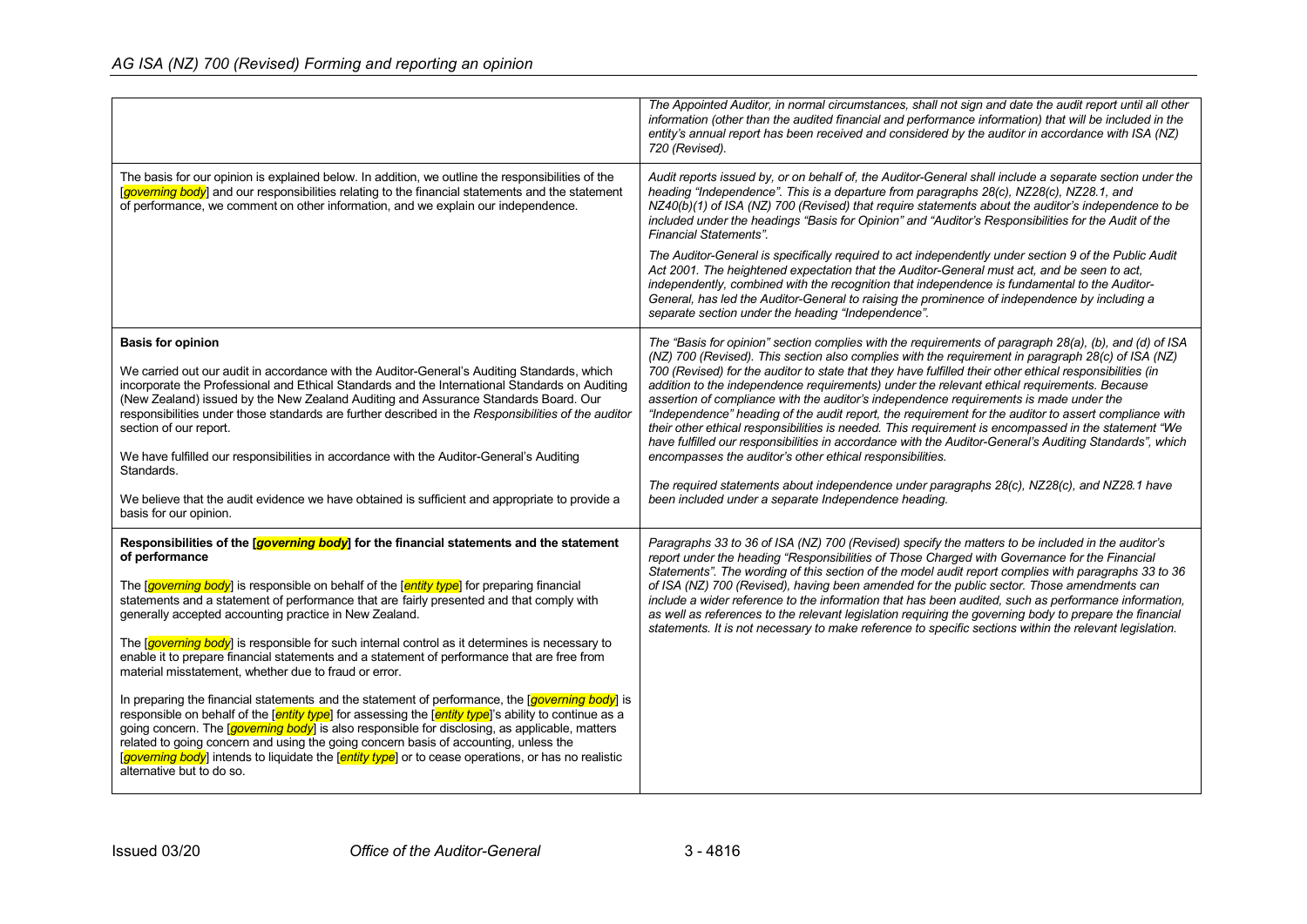|                                                                                                                                                                                                                                                                                                                                                                                                                                                                                                                                                                        | The Appointed Auditor, in normal circumstances, shall not sign and date the audit report until all other<br>information (other than the audited financial and performance information) that will be included in the<br>entity's annual report has been received and considered by the auditor in accordance with ISA (NZ)<br>720 (Revised).                                                                                                                                                                                                                                                                                                                                                                                         |
|------------------------------------------------------------------------------------------------------------------------------------------------------------------------------------------------------------------------------------------------------------------------------------------------------------------------------------------------------------------------------------------------------------------------------------------------------------------------------------------------------------------------------------------------------------------------|-------------------------------------------------------------------------------------------------------------------------------------------------------------------------------------------------------------------------------------------------------------------------------------------------------------------------------------------------------------------------------------------------------------------------------------------------------------------------------------------------------------------------------------------------------------------------------------------------------------------------------------------------------------------------------------------------------------------------------------|
| The basis for our opinion is explained below. In addition, we outline the responsibilities of the<br>[governing body] and our responsibilities relating to the financial statements and the statement<br>of performance, we comment on other information, and we explain our independence.                                                                                                                                                                                                                                                                             | Audit reports issued by, or on behalf of, the Auditor-General shall include a separate section under the<br>heading "Independence". This is a departure from paragraphs 28(c), NZ28(c), NZ28.1, and<br>NZ40(b)(1) of ISA (NZ) 700 (Revised) that require statements about the auditor's independence to be<br>included under the headings "Basis for Opinion" and "Auditor's Responsibilities for the Audit of the<br><b>Financial Statements".</b>                                                                                                                                                                                                                                                                                 |
|                                                                                                                                                                                                                                                                                                                                                                                                                                                                                                                                                                        | The Auditor-General is specifically required to act independently under section 9 of the Public Audit<br>Act 2001. The heightened expectation that the Auditor-General must act, and be seen to act,<br>independently, combined with the recognition that independence is fundamental to the Auditor-<br>General, has led the Auditor-General to raising the prominence of independence by including a<br>separate section under the heading "Independence".                                                                                                                                                                                                                                                                        |
| <b>Basis for opinion</b>                                                                                                                                                                                                                                                                                                                                                                                                                                                                                                                                               | The "Basis for opinion" section complies with the requirements of paragraph 28(a), (b), and (d) of ISA                                                                                                                                                                                                                                                                                                                                                                                                                                                                                                                                                                                                                              |
| We carried out our audit in accordance with the Auditor-General's Auditing Standards, which<br>incorporate the Professional and Ethical Standards and the International Standards on Auditing<br>(New Zealand) issued by the New Zealand Auditing and Assurance Standards Board. Our<br>responsibilities under those standards are further described in the Responsibilities of the auditor<br>section of our report.                                                                                                                                                  | (NZ) 700 (Revised). This section also complies with the requirement in paragraph 28(c) of ISA (NZ)<br>700 (Revised) for the auditor to state that they have fulfilled their other ethical responsibilities (in<br>addition to the independence requirements) under the relevant ethical requirements. Because<br>assertion of compliance with the auditor's independence requirements is made under the<br>"Independence" heading of the audit report, the requirement for the auditor to assert compliance with<br>their other ethical responsibilities is needed. This requirement is encompassed in the statement "We<br>have fulfilled our responsibilities in accordance with the Auditor-General's Auditing Standards", which |
| We have fulfilled our responsibilities in accordance with the Auditor-General's Auditing<br>Standards.                                                                                                                                                                                                                                                                                                                                                                                                                                                                 | encompasses the auditor's other ethical responsibilities.                                                                                                                                                                                                                                                                                                                                                                                                                                                                                                                                                                                                                                                                           |
| We believe that the audit evidence we have obtained is sufficient and appropriate to provide a<br>basis for our opinion.                                                                                                                                                                                                                                                                                                                                                                                                                                               | The required statements about independence under paragraphs 28(c), NZ28(c), and NZ28.1 have<br>been included under a separate Independence heading.                                                                                                                                                                                                                                                                                                                                                                                                                                                                                                                                                                                 |
| Responsibilities of the <i>governing body</i> ] for the financial statements and the statement<br>of performance                                                                                                                                                                                                                                                                                                                                                                                                                                                       | Paragraphs 33 to 36 of ISA (NZ) 700 (Revised) specify the matters to be included in the auditor's<br>report under the heading "Responsibilities of Those Charged with Governance for the Financial                                                                                                                                                                                                                                                                                                                                                                                                                                                                                                                                  |
| The <i>[governing body]</i> is responsible on behalf of the <i>[entity type]</i> for preparing financial<br>statements and a statement of performance that are fairly presented and that comply with<br>generally accepted accounting practice in New Zealand.                                                                                                                                                                                                                                                                                                         | Statements". The wording of this section of the model audit report complies with paragraphs 33 to 36<br>of ISA (NZ) 700 (Revised), having been amended for the public sector. Those amendments can<br>include a wider reference to the information that has been audited, such as performance information,<br>as well as references to the relevant legislation requiring the governing body to prepare the financial<br>statements. It is not necessary to make reference to specific sections within the relevant legislation.                                                                                                                                                                                                    |
| The <i>governing body</i> is responsible for such internal control as it determines is necessary to<br>enable it to prepare financial statements and a statement of performance that are free from<br>material misstatement, whether due to fraud or error.                                                                                                                                                                                                                                                                                                            |                                                                                                                                                                                                                                                                                                                                                                                                                                                                                                                                                                                                                                                                                                                                     |
| In preparing the financial statements and the statement of performance, the [governing body] is<br>responsible on behalf of the <i>entity type</i> for assessing the <i>entity type</i> <sup>'</sup> 's ability to continue as a<br>going concern. The <i>[governing body</i> ] is also responsible for disclosing, as applicable, matters<br>related to going concern and using the going concern basis of accounting, unless the<br>[governing body] intends to liquidate the [entity type] or to cease operations, or has no realistic<br>alternative but to do so. |                                                                                                                                                                                                                                                                                                                                                                                                                                                                                                                                                                                                                                                                                                                                     |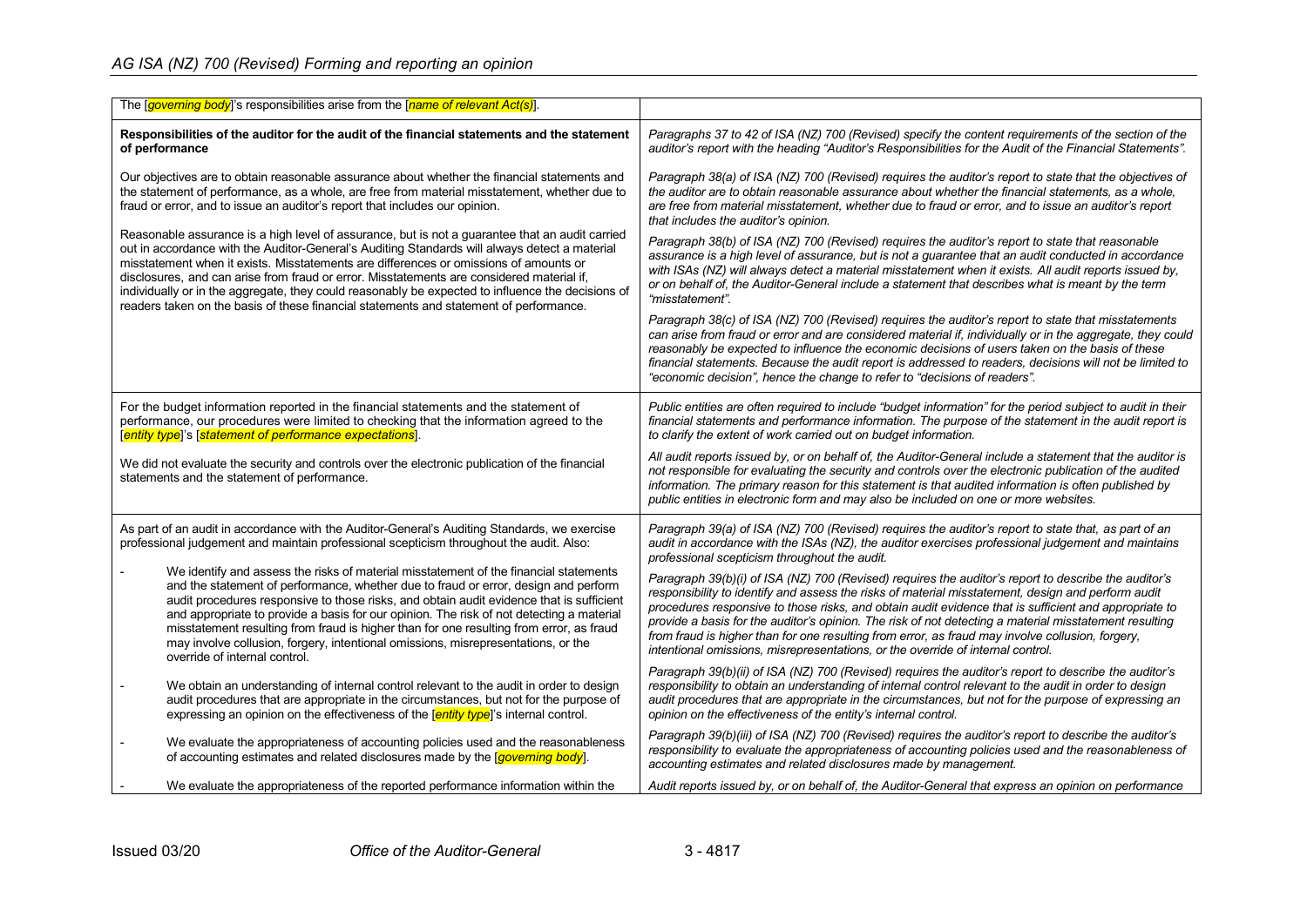| The <i>soverning body</i> <sup>1</sup> 's responsibilities arise from the <i>fname of relevant Act(s)</i> <sup>1</sup> .                                                                                                                                                                                                                                                                                                                                                                                                                                                              |                                                                                                                                                                                                                                                                                                                                                                                                                                                                                                                                                                                                                      |
|---------------------------------------------------------------------------------------------------------------------------------------------------------------------------------------------------------------------------------------------------------------------------------------------------------------------------------------------------------------------------------------------------------------------------------------------------------------------------------------------------------------------------------------------------------------------------------------|----------------------------------------------------------------------------------------------------------------------------------------------------------------------------------------------------------------------------------------------------------------------------------------------------------------------------------------------------------------------------------------------------------------------------------------------------------------------------------------------------------------------------------------------------------------------------------------------------------------------|
| Responsibilities of the auditor for the audit of the financial statements and the statement<br>of performance                                                                                                                                                                                                                                                                                                                                                                                                                                                                         | Paragraphs 37 to 42 of ISA (NZ) 700 (Revised) specify the content requirements of the section of the<br>auditor's report with the heading "Auditor's Responsibilities for the Audit of the Financial Statements".                                                                                                                                                                                                                                                                                                                                                                                                    |
| Our objectives are to obtain reasonable assurance about whether the financial statements and<br>the statement of performance, as a whole, are free from material misstatement, whether due to<br>fraud or error, and to issue an auditor's report that includes our opinion.                                                                                                                                                                                                                                                                                                          | Paragraph 38(a) of ISA (NZ) 700 (Revised) requires the auditor's report to state that the objectives of<br>the auditor are to obtain reasonable assurance about whether the financial statements, as a whole,<br>are free from material misstatement, whether due to fraud or error, and to issue an auditor's report<br>that includes the auditor's opinion.                                                                                                                                                                                                                                                        |
| Reasonable assurance is a high level of assurance, but is not a guarantee that an audit carried<br>out in accordance with the Auditor-General's Auditing Standards will always detect a material<br>misstatement when it exists. Misstatements are differences or omissions of amounts or<br>disclosures, and can arise from fraud or error. Misstatements are considered material if,<br>individually or in the aggregate, they could reasonably be expected to influence the decisions of                                                                                           | Paragraph 38(b) of ISA (NZ) 700 (Revised) requires the auditor's report to state that reasonable<br>assurance is a high level of assurance, but is not a quarantee that an audit conducted in accordance<br>with ISAs (NZ) will always detect a material misstatement when it exists. All audit reports issued by,<br>or on behalf of, the Auditor-General include a statement that describes what is meant by the term<br>"misstatement".                                                                                                                                                                           |
| readers taken on the basis of these financial statements and statement of performance.                                                                                                                                                                                                                                                                                                                                                                                                                                                                                                | Paragraph 38(c) of ISA (NZ) 700 (Revised) requires the auditor's report to state that misstatements<br>can arise from fraud or error and are considered material if, individually or in the aggregate, they could<br>reasonably be expected to influence the economic decisions of users taken on the basis of these<br>financial statements. Because the audit report is addressed to readers, decisions will not be limited to<br>"economic decision", hence the change to refer to "decisions of readers".                                                                                                        |
| For the budget information reported in the financial statements and the statement of<br>performance, our procedures were limited to checking that the information agreed to the<br>[entity type]'s [statement of performance expectations].                                                                                                                                                                                                                                                                                                                                           | Public entities are often required to include "budget information" for the period subject to audit in their<br>financial statements and performance information. The purpose of the statement in the audit report is<br>to clarify the extent of work carried out on budget information.                                                                                                                                                                                                                                                                                                                             |
| We did not evaluate the security and controls over the electronic publication of the financial<br>statements and the statement of performance.                                                                                                                                                                                                                                                                                                                                                                                                                                        | All audit reports issued by, or on behalf of, the Auditor-General include a statement that the auditor is<br>not responsible for evaluating the security and controls over the electronic publication of the audited<br>information. The primary reason for this statement is that audited information is often published by<br>public entities in electronic form and may also be included on one or more websites.                                                                                                                                                                                                 |
| As part of an audit in accordance with the Auditor-General's Auditing Standards, we exercise<br>professional judgement and maintain professional scepticism throughout the audit. Also:                                                                                                                                                                                                                                                                                                                                                                                               | Paragraph 39(a) of ISA (NZ) 700 (Revised) requires the auditor's report to state that, as part of an<br>audit in accordance with the ISAs (NZ), the auditor exercises professional judgement and maintains<br>professional scepticism throughout the audit.                                                                                                                                                                                                                                                                                                                                                          |
| We identify and assess the risks of material misstatement of the financial statements<br>and the statement of performance, whether due to fraud or error, design and perform<br>audit procedures responsive to those risks, and obtain audit evidence that is sufficient<br>and appropriate to provide a basis for our opinion. The risk of not detecting a material<br>misstatement resulting from fraud is higher than for one resulting from error, as fraud<br>may involve collusion, forgery, intentional omissions, misrepresentations, or the<br>override of internal control. | Paragraph 39(b)(i) of ISA (NZ) 700 (Revised) requires the auditor's report to describe the auditor's<br>responsibility to identify and assess the risks of material misstatement, design and perform audit<br>procedures responsive to those risks, and obtain audit evidence that is sufficient and appropriate to<br>provide a basis for the auditor's opinion. The risk of not detecting a material misstatement resulting<br>from fraud is higher than for one resulting from error, as fraud may involve collusion, forgery,<br>intentional omissions, misrepresentations, or the override of internal control. |
| We obtain an understanding of internal control relevant to the audit in order to design<br>audit procedures that are appropriate in the circumstances, but not for the purpose of<br>expressing an opinion on the effectiveness of the [entity type]'s internal control.                                                                                                                                                                                                                                                                                                              | Paragraph 39(b)(ii) of ISA (NZ) 700 (Revised) requires the auditor's report to describe the auditor's<br>responsibility to obtain an understanding of internal control relevant to the audit in order to design<br>audit procedures that are appropriate in the circumstances, but not for the purpose of expressing an<br>opinion on the effectiveness of the entity's internal control.                                                                                                                                                                                                                            |
| We evaluate the appropriateness of accounting policies used and the reasonableness<br>of accounting estimates and related disclosures made by the [governing body].                                                                                                                                                                                                                                                                                                                                                                                                                   | Paragraph 39(b)(iii) of ISA (NZ) 700 (Revised) requires the auditor's report to describe the auditor's<br>responsibility to evaluate the appropriateness of accounting policies used and the reasonableness of<br>accounting estimates and related disclosures made by management.                                                                                                                                                                                                                                                                                                                                   |
| We evaluate the appropriateness of the reported performance information within the                                                                                                                                                                                                                                                                                                                                                                                                                                                                                                    | Audit reports issued by, or on behalf of, the Auditor-General that express an opinion on performance                                                                                                                                                                                                                                                                                                                                                                                                                                                                                                                 |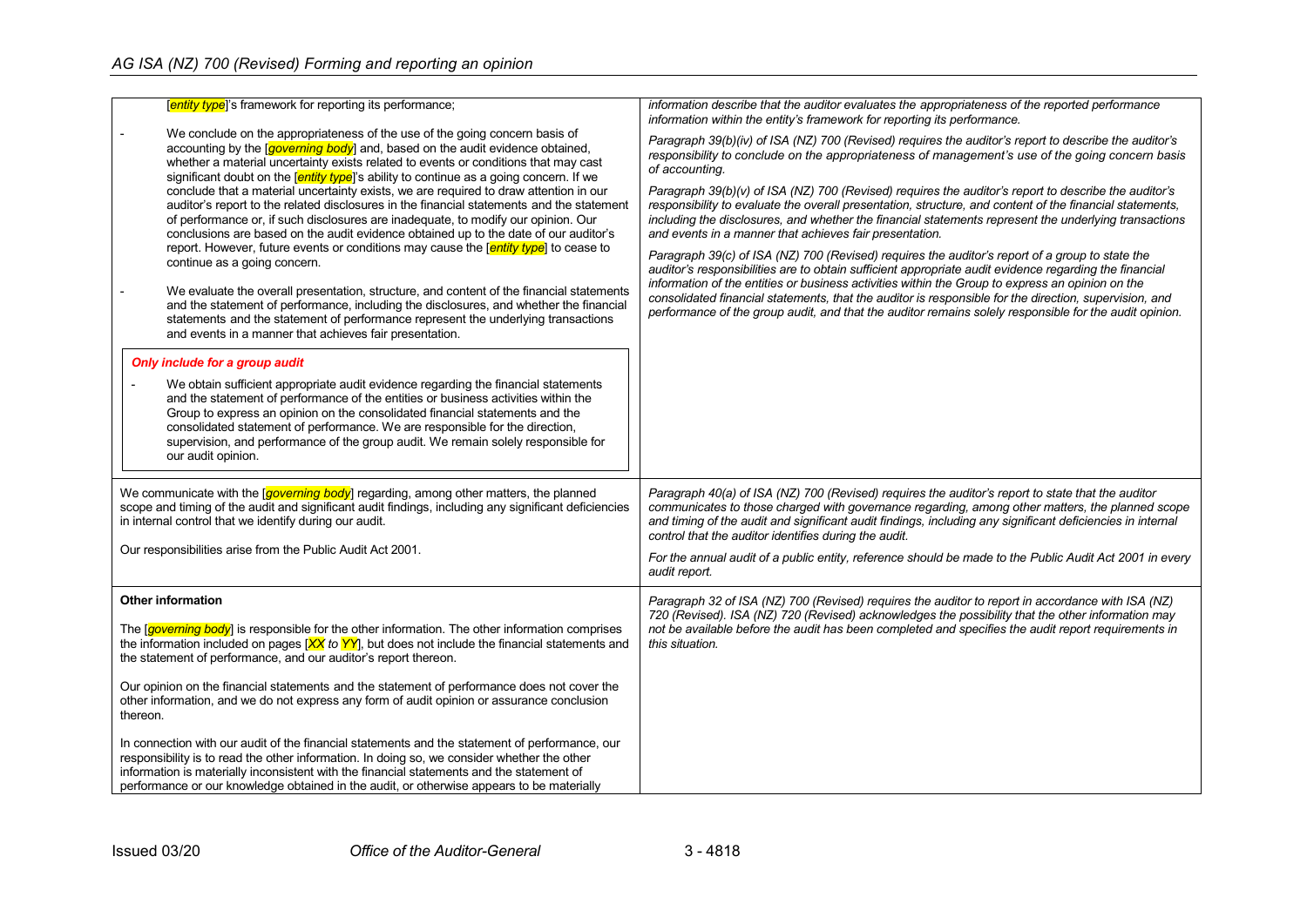| [entity type]'s framework for reporting its performance;                                                                                                                                                                                                                                                                                                                                                                                                                                                                                                                                                                                                                                                                                                                                                                                                                                                                                                                                                                                                                                                                                                                                                                                                                                                                                                                                                                                                                                                                                                                                                                                                                            | information describe that the auditor evaluates the appropriateness of the reported performance<br>information within the entity's framework for reporting its performance.                                                                                                                                                                                                                                                                                                                                                                                                                                                                                                                                                                                                                                                                                                                                                                                                                                                                                                                                                                              |
|-------------------------------------------------------------------------------------------------------------------------------------------------------------------------------------------------------------------------------------------------------------------------------------------------------------------------------------------------------------------------------------------------------------------------------------------------------------------------------------------------------------------------------------------------------------------------------------------------------------------------------------------------------------------------------------------------------------------------------------------------------------------------------------------------------------------------------------------------------------------------------------------------------------------------------------------------------------------------------------------------------------------------------------------------------------------------------------------------------------------------------------------------------------------------------------------------------------------------------------------------------------------------------------------------------------------------------------------------------------------------------------------------------------------------------------------------------------------------------------------------------------------------------------------------------------------------------------------------------------------------------------------------------------------------------------|----------------------------------------------------------------------------------------------------------------------------------------------------------------------------------------------------------------------------------------------------------------------------------------------------------------------------------------------------------------------------------------------------------------------------------------------------------------------------------------------------------------------------------------------------------------------------------------------------------------------------------------------------------------------------------------------------------------------------------------------------------------------------------------------------------------------------------------------------------------------------------------------------------------------------------------------------------------------------------------------------------------------------------------------------------------------------------------------------------------------------------------------------------|
| We conclude on the appropriateness of the use of the going concern basis of<br>accounting by the [governing body] and, based on the audit evidence obtained,<br>whether a material uncertainty exists related to events or conditions that may cast<br>significant doubt on the [entity type]'s ability to continue as a going concern. If we<br>conclude that a material uncertainty exists, we are required to draw attention in our<br>auditor's report to the related disclosures in the financial statements and the statement<br>of performance or, if such disclosures are inadequate, to modify our opinion. Our<br>conclusions are based on the audit evidence obtained up to the date of our auditor's<br>report. However, future events or conditions may cause the fentity type <sup>l</sup> to cease to<br>continue as a going concern.<br>We evaluate the overall presentation, structure, and content of the financial statements<br>and the statement of performance, including the disclosures, and whether the financial<br>statements and the statement of performance represent the underlying transactions<br>and events in a manner that achieves fair presentation.<br>Only include for a group audit<br>We obtain sufficient appropriate audit evidence regarding the financial statements<br>and the statement of performance of the entities or business activities within the<br>Group to express an opinion on the consolidated financial statements and the<br>consolidated statement of performance. We are responsible for the direction,<br>supervision, and performance of the group audit. We remain solely responsible for<br>our audit opinion. | Paragraph 39(b)(iv) of ISA (NZ) 700 (Revised) requires the auditor's report to describe the auditor's<br>responsibility to conclude on the appropriateness of management's use of the going concern basis<br>of accounting.<br>Paragraph 39(b)(v) of ISA (NZ) 700 (Revised) requires the auditor's report to describe the auditor's<br>responsibility to evaluate the overall presentation, structure, and content of the financial statements,<br>including the disclosures, and whether the financial statements represent the underlying transactions<br>and events in a manner that achieves fair presentation.<br>Paragraph 39(c) of ISA (NZ) 700 (Revised) requires the auditor's report of a group to state the<br>auditor's responsibilities are to obtain sufficient appropriate audit evidence regarding the financial<br>information of the entities or business activities within the Group to express an opinion on the<br>consolidated financial statements, that the auditor is responsible for the direction, supervision, and<br>performance of the group audit, and that the auditor remains solely responsible for the audit opinion. |
| We communicate with the <i>[governing body</i> ] regarding, among other matters, the planned<br>scope and timing of the audit and significant audit findings, including any significant deficiencies<br>in internal control that we identify during our audit.<br>Our responsibilities arise from the Public Audit Act 2001.                                                                                                                                                                                                                                                                                                                                                                                                                                                                                                                                                                                                                                                                                                                                                                                                                                                                                                                                                                                                                                                                                                                                                                                                                                                                                                                                                        | Paragraph 40(a) of ISA (NZ) 700 (Revised) requires the auditor's report to state that the auditor<br>communicates to those charged with governance regarding, among other matters, the planned scope<br>and timing of the audit and significant audit findings, including any significant deficiencies in internal<br>control that the auditor identifies during the audit.<br>For the annual audit of a public entity, reference should be made to the Public Audit Act 2001 in every                                                                                                                                                                                                                                                                                                                                                                                                                                                                                                                                                                                                                                                                   |
|                                                                                                                                                                                                                                                                                                                                                                                                                                                                                                                                                                                                                                                                                                                                                                                                                                                                                                                                                                                                                                                                                                                                                                                                                                                                                                                                                                                                                                                                                                                                                                                                                                                                                     | audit report.                                                                                                                                                                                                                                                                                                                                                                                                                                                                                                                                                                                                                                                                                                                                                                                                                                                                                                                                                                                                                                                                                                                                            |
| <b>Other information</b><br>The <i>governing body</i> is responsible for the other information. The other information comprises<br>the information included on pages $[XX]$ to $YY]$ , but does not include the financial statements and<br>the statement of performance, and our auditor's report thereon.<br>Our opinion on the financial statements and the statement of performance does not cover the<br>other information, and we do not express any form of audit opinion or assurance conclusion<br>thereon.                                                                                                                                                                                                                                                                                                                                                                                                                                                                                                                                                                                                                                                                                                                                                                                                                                                                                                                                                                                                                                                                                                                                                                | Paragraph 32 of ISA (NZ) 700 (Revised) requires the auditor to report in accordance with ISA (NZ)<br>720 (Revised). ISA (NZ) 720 (Revised) acknowledges the possibility that the other information may<br>not be available before the audit has been completed and specifies the audit report requirements in<br>this situation.                                                                                                                                                                                                                                                                                                                                                                                                                                                                                                                                                                                                                                                                                                                                                                                                                         |
| In connection with our audit of the financial statements and the statement of performance, our<br>responsibility is to read the other information. In doing so, we consider whether the other<br>information is materially inconsistent with the financial statements and the statement of<br>performance or our knowledge obtained in the audit, or otherwise appears to be materially                                                                                                                                                                                                                                                                                                                                                                                                                                                                                                                                                                                                                                                                                                                                                                                                                                                                                                                                                                                                                                                                                                                                                                                                                                                                                             |                                                                                                                                                                                                                                                                                                                                                                                                                                                                                                                                                                                                                                                                                                                                                                                                                                                                                                                                                                                                                                                                                                                                                          |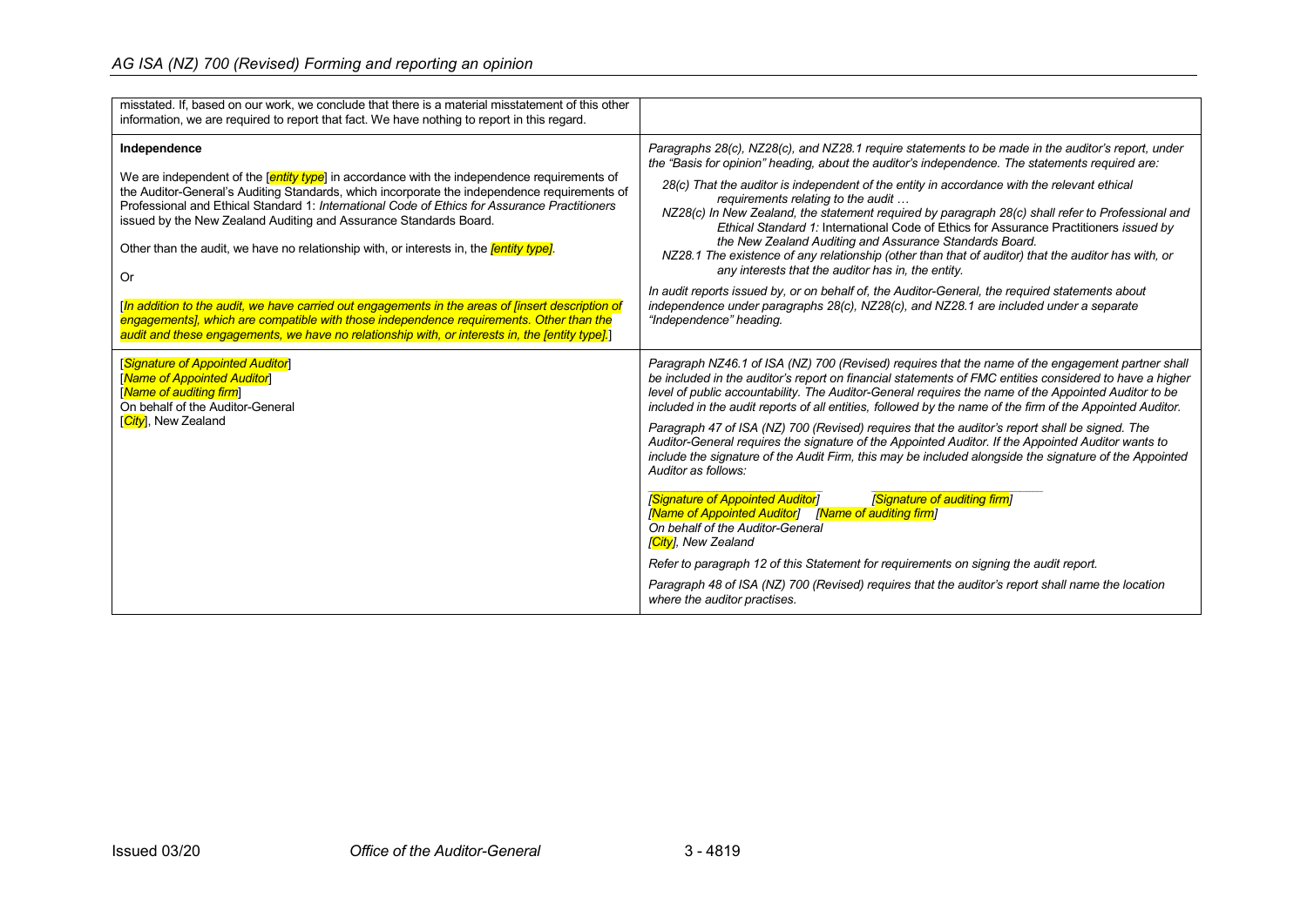| misstated. If, based on our work, we conclude that there is a material misstatement of this other<br>information, we are required to report that fact. We have nothing to report in this regard.                                                                                                                                                                                                                                                                                                                                                                                                                                                                                                                                                                                                                    |                                                                                                                                                                                                                                                                                                                                                                                                                                                                                                                                                                                                                                                                                                                                                                                                                                                                                                                                                                                                                                                                                                                                                                                                      |
|---------------------------------------------------------------------------------------------------------------------------------------------------------------------------------------------------------------------------------------------------------------------------------------------------------------------------------------------------------------------------------------------------------------------------------------------------------------------------------------------------------------------------------------------------------------------------------------------------------------------------------------------------------------------------------------------------------------------------------------------------------------------------------------------------------------------|------------------------------------------------------------------------------------------------------------------------------------------------------------------------------------------------------------------------------------------------------------------------------------------------------------------------------------------------------------------------------------------------------------------------------------------------------------------------------------------------------------------------------------------------------------------------------------------------------------------------------------------------------------------------------------------------------------------------------------------------------------------------------------------------------------------------------------------------------------------------------------------------------------------------------------------------------------------------------------------------------------------------------------------------------------------------------------------------------------------------------------------------------------------------------------------------------|
| Independence<br>We are independent of the $\sqrt{\frac{en\ddot{t}}{V}}$ in accordance with the independence requirements of<br>the Auditor-General's Auditing Standards, which incorporate the independence requirements of<br>Professional and Ethical Standard 1: International Code of Ethics for Assurance Practitioners<br>issued by the New Zealand Auditing and Assurance Standards Board.<br>Other than the audit, we have no relationship with, or interests in, the <i>fentity type]</i> .<br><b>Or</b><br>[In addition to the audit, we have carried out engagements in the areas of [insert description of<br>engagements], which are compatible with those independence requirements. Other than the<br>audit and these engagements, we have no relationship with, or interests in, the fentity type]. | Paragraphs 28(c), NZ28(c), and NZ28.1 require statements to be made in the auditor's report, under<br>the "Basis for opinion" heading, about the auditor's independence. The statements required are:<br>28(c) That the auditor is independent of the entity in accordance with the relevant ethical<br>requirements relating to the audit<br>NZ28(c) In New Zealand, the statement required by paragraph 28(c) shall refer to Professional and<br>Ethical Standard 1: International Code of Ethics for Assurance Practitioners issued by<br>the New Zealand Auditing and Assurance Standards Board.<br>NZ28.1 The existence of any relationship (other than that of auditor) that the auditor has with, or<br>any interests that the auditor has in, the entity.<br>In audit reports issued by, or on behalf of, the Auditor-General, the required statements about<br>independence under paragraphs 28(c), NZ28(c), and NZ28.1 are included under a separate<br>"Independence" heading.                                                                                                                                                                                                            |
| [Signature of Appointed Auditor]<br>[Name of Appointed Auditor]<br>[Name of auditing firm]<br>On behalf of the Auditor-General<br>[City], New Zealand                                                                                                                                                                                                                                                                                                                                                                                                                                                                                                                                                                                                                                                               | Paragraph NZ46.1 of ISA (NZ) 700 (Revised) requires that the name of the engagement partner shall<br>be included in the auditor's report on financial statements of FMC entities considered to have a higher<br>level of public accountability. The Auditor-General requires the name of the Appointed Auditor to be<br>included in the audit reports of all entities, followed by the name of the firm of the Appointed Auditor.<br>Paragraph 47 of ISA (NZ) 700 (Revised) requires that the auditor's report shall be signed. The<br>Auditor-General requires the signature of the Appointed Auditor. If the Appointed Auditor wants to<br>include the signature of the Audit Firm, this may be included alongside the signature of the Appointed<br>Auditor as follows:<br><b>Signature of Appointed Auditor]</b><br>[Signature of auditing firm]<br>[Name of Appointed Auditor] [Name of auditing firm]<br>On behalf of the Auditor-General<br>[City], New Zealand<br>Refer to paragraph 12 of this Statement for requirements on signing the audit report.<br>Paragraph 48 of ISA (NZ) 700 (Revised) requires that the auditor's report shall name the location<br>where the auditor practises. |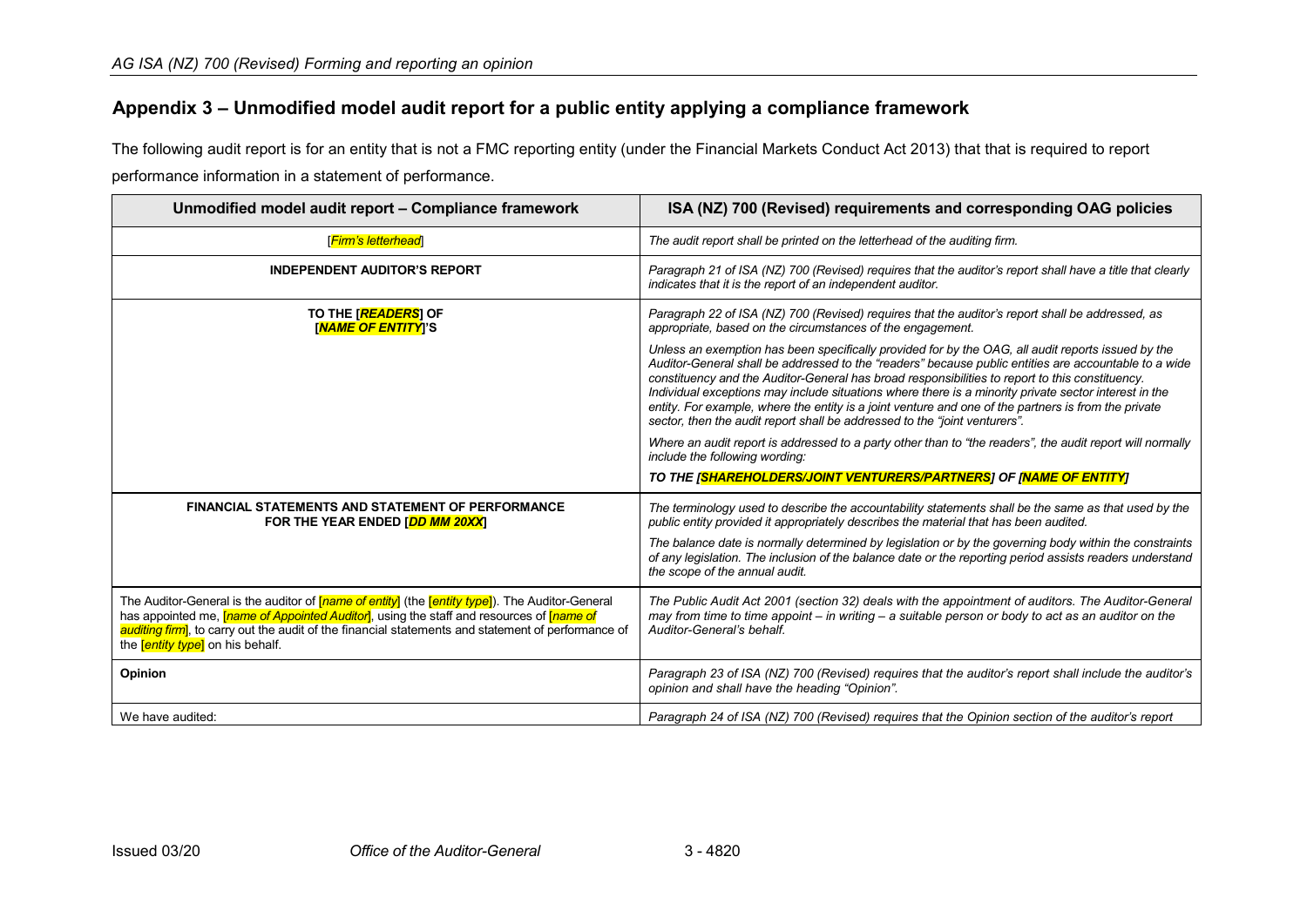# **Appendix 3 – Unmodified model audit report for a public entity applying a compliance framework**

The following audit report is for an entity that is not a FMC reporting entity (under the Financial Markets Conduct Act 2013) that that is required to report performance information in a statement of performance.

<span id="page-20-0"></span>

| Unmodified model audit report - Compliance framework                                                                                                                                                                                                                                                                                                                                                | ISA (NZ) 700 (Revised) requirements and corresponding OAG policies                                                                                                                                                                                                                                                                                                                                                                                                                                                                                                                                            |
|-----------------------------------------------------------------------------------------------------------------------------------------------------------------------------------------------------------------------------------------------------------------------------------------------------------------------------------------------------------------------------------------------------|---------------------------------------------------------------------------------------------------------------------------------------------------------------------------------------------------------------------------------------------------------------------------------------------------------------------------------------------------------------------------------------------------------------------------------------------------------------------------------------------------------------------------------------------------------------------------------------------------------------|
| [ <mark>Firm's letterhead</mark> ]                                                                                                                                                                                                                                                                                                                                                                  | The audit report shall be printed on the letterhead of the auditing firm.                                                                                                                                                                                                                                                                                                                                                                                                                                                                                                                                     |
| <b>INDEPENDENT AUDITOR'S REPORT</b>                                                                                                                                                                                                                                                                                                                                                                 | Paragraph 21 of ISA (NZ) 700 (Revised) requires that the auditor's report shall have a title that clearly<br>indicates that it is the report of an independent auditor.                                                                                                                                                                                                                                                                                                                                                                                                                                       |
| TO THE [READERS] OF<br>[ <mark>NAME OF ENTITY</mark> ]'S                                                                                                                                                                                                                                                                                                                                            | Paragraph 22 of ISA (NZ) 700 (Revised) requires that the auditor's report shall be addressed, as<br>appropriate, based on the circumstances of the engagement.                                                                                                                                                                                                                                                                                                                                                                                                                                                |
|                                                                                                                                                                                                                                                                                                                                                                                                     | Unless an exemption has been specifically provided for by the OAG, all audit reports issued by the<br>Auditor-General shall be addressed to the "readers" because public entities are accountable to a wide<br>constituency and the Auditor-General has broad responsibilities to report to this constituency.<br>Individual exceptions may include situations where there is a minority private sector interest in the<br>entity. For example, where the entity is a joint venture and one of the partners is from the private<br>sector, then the audit report shall be addressed to the "joint venturers". |
|                                                                                                                                                                                                                                                                                                                                                                                                     | Where an audit report is addressed to a party other than to "the readers", the audit report will normally<br>include the following wording:                                                                                                                                                                                                                                                                                                                                                                                                                                                                   |
|                                                                                                                                                                                                                                                                                                                                                                                                     | TO THE ISHAREHOLDERS/JOINT VENTURERS/PARTNERS] OF INAME OF ENTITY]                                                                                                                                                                                                                                                                                                                                                                                                                                                                                                                                            |
| <b>FINANCIAL STATEMENTS AND STATEMENT OF PERFORMANCE</b><br>FOR THE YEAR ENDED [DD MM 20XX]                                                                                                                                                                                                                                                                                                         | The terminology used to describe the accountability statements shall be the same as that used by the<br>public entity provided it appropriately describes the material that has been audited.                                                                                                                                                                                                                                                                                                                                                                                                                 |
|                                                                                                                                                                                                                                                                                                                                                                                                     | The balance date is normally determined by legislation or by the governing body within the constraints<br>of any legislation. The inclusion of the balance date or the reporting period assists readers understand<br>the scope of the annual audit.                                                                                                                                                                                                                                                                                                                                                          |
| The Auditor-General is the auditor of <mark>[<i>name of entity</i>]</mark> (the <mark>[<i>entity type</i>]</mark> ). The Auditor-General<br>has appointed me, [ <i>name of Appointed Auditor</i> ], using the staff and resources of [ <i>name of</i><br>auditing firm, to carry out the audit of the financial statements and statement of performance of<br>the <i>entity type</i> on his behalf. | The Public Audit Act 2001 (section 32) deals with the appointment of auditors. The Auditor-General<br>may from time to time appoint – in writing – a suitable person or body to act as an auditor on the<br>Auditor-General's behalf.                                                                                                                                                                                                                                                                                                                                                                         |
| Opinion                                                                                                                                                                                                                                                                                                                                                                                             | Paragraph 23 of ISA (NZ) 700 (Revised) requires that the auditor's report shall include the auditor's<br>opinion and shall have the heading "Opinion".                                                                                                                                                                                                                                                                                                                                                                                                                                                        |
| We have audited:                                                                                                                                                                                                                                                                                                                                                                                    | Paragraph 24 of ISA (NZ) 700 (Revised) requires that the Opinion section of the auditor's report                                                                                                                                                                                                                                                                                                                                                                                                                                                                                                              |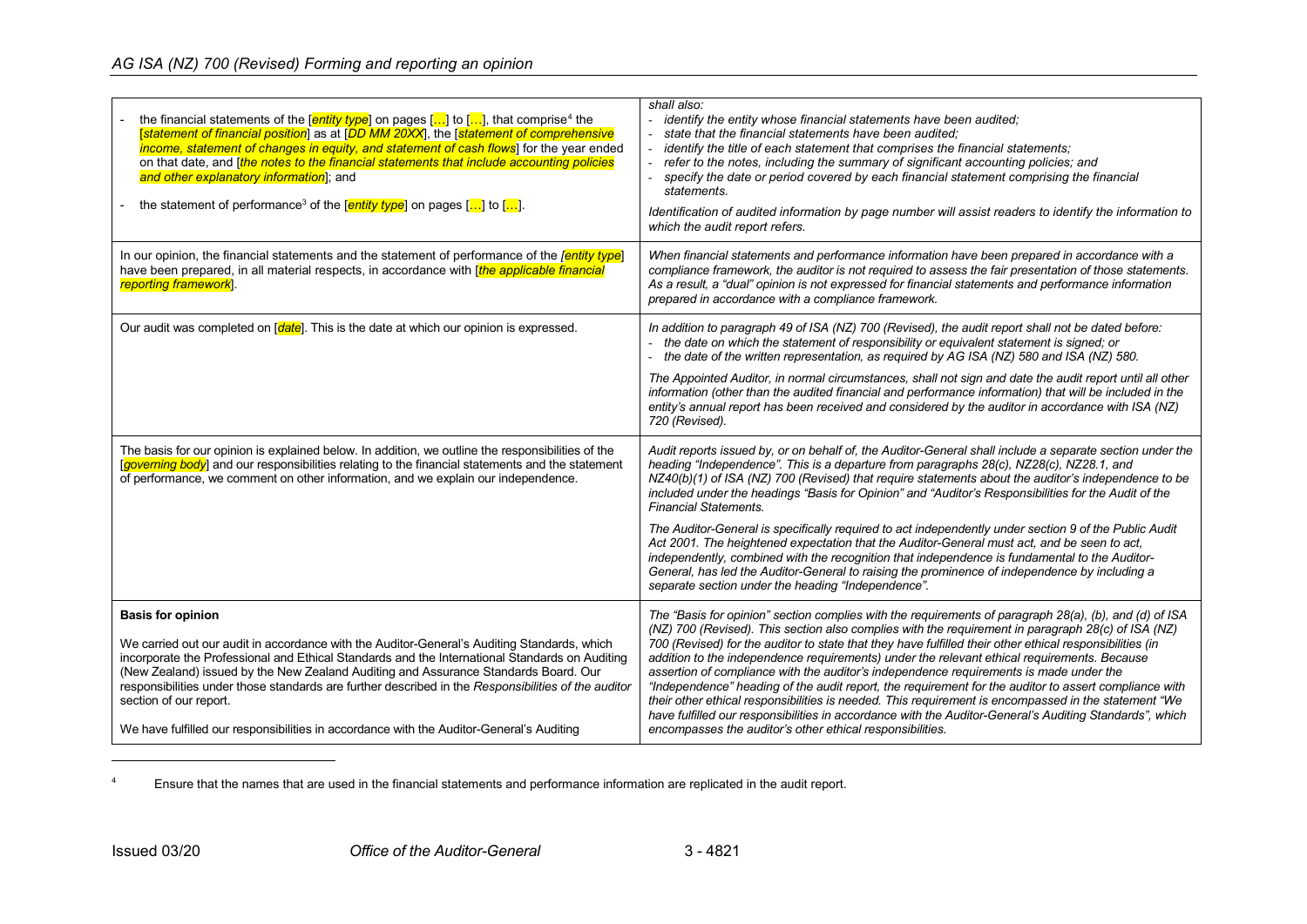# <span id="page-21-0"></span>*AG ISA (NZ) 700 (Revised) Forming and reporting an opinion*

| the financial statements of the $[$ <i>entity type</i> ] on pages $[]$ to $[]$ , that comprise <sup>4</sup> the<br>[statement of financial position] as at [DD MM 20XX], the [statement of comprehensive<br><i>income, statement of changes in equity, and statement of cash flows</i> ] for the year ended<br>on that date, and <i>[the notes to the financial statements that include accounting policies</i><br>and other explanatory information]; and<br>the statement of performance <sup>3</sup> of the [ <i>entity type</i> ] on pages $\left[\ldots\right]$ to $\left[\ldots\right]$ . | shall also:<br>identify the entity whose financial statements have been audited;<br>state that the financial statements have been audited:<br>identify the title of each statement that comprises the financial statements:<br>refer to the notes, including the summary of significant accounting policies; and<br>specify the date or period covered by each financial statement comprising the financial<br>statements.<br>Identification of audited information by page number will assist readers to identify the information to<br>which the audit report refers.                                                                                                                                                                                                                                                                                                                                    |
|-------------------------------------------------------------------------------------------------------------------------------------------------------------------------------------------------------------------------------------------------------------------------------------------------------------------------------------------------------------------------------------------------------------------------------------------------------------------------------------------------------------------------------------------------------------------------------------------------|------------------------------------------------------------------------------------------------------------------------------------------------------------------------------------------------------------------------------------------------------------------------------------------------------------------------------------------------------------------------------------------------------------------------------------------------------------------------------------------------------------------------------------------------------------------------------------------------------------------------------------------------------------------------------------------------------------------------------------------------------------------------------------------------------------------------------------------------------------------------------------------------------------|
| In our opinion, the financial statements and the statement of performance of the <i>fentity type</i><br>have been prepared, in all material respects, in accordance with [ <i>the applicable financial</i><br>reporting framework.                                                                                                                                                                                                                                                                                                                                                              | When financial statements and performance information have been prepared in accordance with a<br>compliance framework, the auditor is not required to assess the fair presentation of those statements.<br>As a result, a "dual" opinion is not expressed for financial statements and performance information<br>prepared in accordance with a compliance framework.                                                                                                                                                                                                                                                                                                                                                                                                                                                                                                                                      |
| Our audit was completed on $\lceil \frac{data}{1} \rceil$ . This is the date at which our opinion is expressed.                                                                                                                                                                                                                                                                                                                                                                                                                                                                                 | In addition to paragraph 49 of ISA (NZ) 700 (Revised), the audit report shall not be dated before:<br>- the date on which the statement of responsibility or equivalent statement is signed; or<br>- the date of the written representation, as required by AG ISA (NZ) 580 and ISA (NZ) 580.<br>The Appointed Auditor, in normal circumstances, shall not sign and date the audit report until all other<br>information (other than the audited financial and performance information) that will be included in the                                                                                                                                                                                                                                                                                                                                                                                       |
|                                                                                                                                                                                                                                                                                                                                                                                                                                                                                                                                                                                                 | entity's annual report has been received and considered by the auditor in accordance with ISA (NZ)<br>720 (Revised).                                                                                                                                                                                                                                                                                                                                                                                                                                                                                                                                                                                                                                                                                                                                                                                       |
| The basis for our opinion is explained below. In addition, we outline the responsibilities of the<br>[governing body] and our responsibilities relating to the financial statements and the statement<br>of performance, we comment on other information, and we explain our independence.                                                                                                                                                                                                                                                                                                      | Audit reports issued by, or on behalf of, the Auditor-General shall include a separate section under the<br>heading "Independence". This is a departure from paragraphs 28(c), NZ28(c), NZ28.1, and<br>NZ40(b)(1) of ISA (NZ) 700 (Revised) that require statements about the auditor's independence to be<br>included under the headings "Basis for Opinion" and "Auditor's Responsibilities for the Audit of the<br><b>Financial Statements.</b>                                                                                                                                                                                                                                                                                                                                                                                                                                                         |
|                                                                                                                                                                                                                                                                                                                                                                                                                                                                                                                                                                                                 | The Auditor-General is specifically required to act independently under section 9 of the Public Audit<br>Act 2001. The heightened expectation that the Auditor-General must act, and be seen to act,<br>independently, combined with the recognition that independence is fundamental to the Auditor-<br>General, has led the Auditor-General to raising the prominence of independence by including a<br>separate section under the heading "Independence".                                                                                                                                                                                                                                                                                                                                                                                                                                               |
| <b>Basis for opinion</b><br>We carried out our audit in accordance with the Auditor-General's Auditing Standards, which<br>incorporate the Professional and Ethical Standards and the International Standards on Auditing<br>(New Zealand) issued by the New Zealand Auditing and Assurance Standards Board. Our<br>responsibilities under those standards are further described in the Responsibilities of the auditor<br>section of our report.<br>We have fulfilled our responsibilities in accordance with the Auditor-General's Auditing                                                   | The "Basis for opinion" section complies with the requirements of paragraph 28(a), (b), and (d) of ISA<br>(NZ) 700 (Revised). This section also complies with the requirement in paragraph 28(c) of ISA (NZ)<br>700 (Revised) for the auditor to state that they have fulfilled their other ethical responsibilities (in<br>addition to the independence requirements) under the relevant ethical requirements. Because<br>assertion of compliance with the auditor's independence requirements is made under the<br>"Independence" heading of the audit report, the requirement for the auditor to assert compliance with<br>their other ethical responsibilities is needed. This requirement is encompassed in the statement "We<br>have fulfilled our responsibilities in accordance with the Auditor-General's Auditing Standards", which<br>encompasses the auditor's other ethical responsibilities. |

<sup>4</sup> Ensure that the names that are used in the financial statements and performance information are replicated in the audit report.

j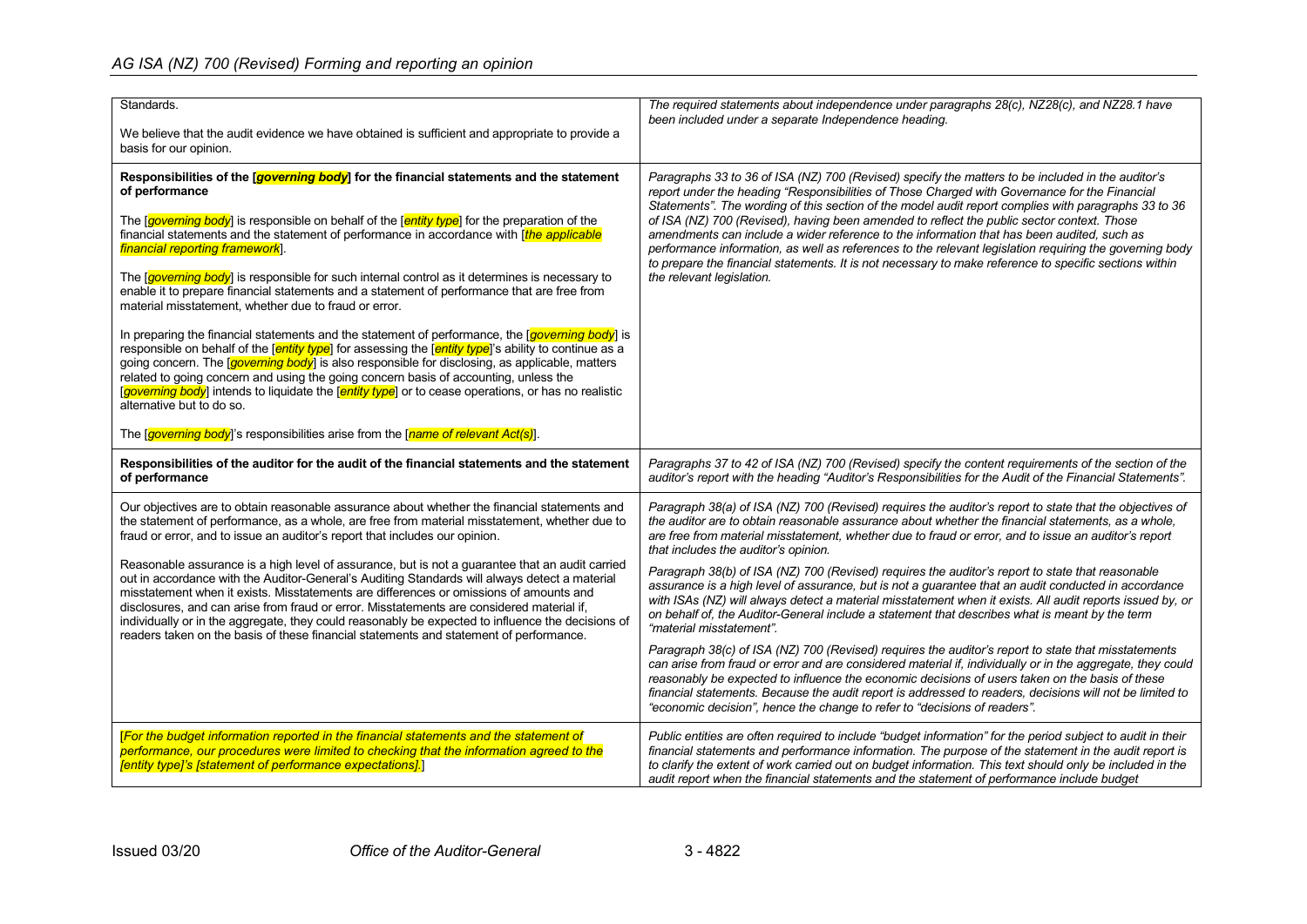| Standards.<br>We believe that the audit evidence we have obtained is sufficient and appropriate to provide a                                                                                                                                                                                                                                                                                                                                                                                                                                                                           | The required statements about independence under paragraphs 28(c), NZ28(c), and NZ28.1 have<br>been included under a separate Independence heading.                                                                                                                                                                                                                                                                                                                                                                                                                                                                                                                                                                                                      |
|----------------------------------------------------------------------------------------------------------------------------------------------------------------------------------------------------------------------------------------------------------------------------------------------------------------------------------------------------------------------------------------------------------------------------------------------------------------------------------------------------------------------------------------------------------------------------------------|----------------------------------------------------------------------------------------------------------------------------------------------------------------------------------------------------------------------------------------------------------------------------------------------------------------------------------------------------------------------------------------------------------------------------------------------------------------------------------------------------------------------------------------------------------------------------------------------------------------------------------------------------------------------------------------------------------------------------------------------------------|
| basis for our opinion.<br>Responsibilities of the [ <i>governing body</i> ] for the financial statements and the statement                                                                                                                                                                                                                                                                                                                                                                                                                                                             | Paragraphs 33 to 36 of ISA (NZ) 700 (Revised) specify the matters to be included in the auditor's<br>report under the heading "Responsibilities of Those Charged with Governance for the Financial<br>Statements". The wording of this section of the model audit report complies with paragraphs 33 to 36<br>of ISA (NZ) 700 (Revised), having been amended to reflect the public sector context. Those<br>amendments can include a wider reference to the information that has been audited, such as<br>performance information, as well as references to the relevant legislation requiring the governing body<br>to prepare the financial statements. It is not necessary to make reference to specific sections within<br>the relevant legislation. |
| of performance<br>The [governing body] is responsible on behalf of the [entity type] for the preparation of the<br>financial statements and the statement of performance in accordance with [the applicable<br>financial reporting framework].                                                                                                                                                                                                                                                                                                                                         |                                                                                                                                                                                                                                                                                                                                                                                                                                                                                                                                                                                                                                                                                                                                                          |
| The [governing body] is responsible for such internal control as it determines is necessary to<br>enable it to prepare financial statements and a statement of performance that are free from<br>material misstatement, whether due to fraud or error.                                                                                                                                                                                                                                                                                                                                 |                                                                                                                                                                                                                                                                                                                                                                                                                                                                                                                                                                                                                                                                                                                                                          |
| In preparing the financial statements and the statement of performance, the [governing body] is<br>responsible on behalf of the <i>[entity type]</i> for assessing the <i>[entity type]</i> 's ability to continue as a<br>going concern. The <i>[governing body</i> ] is also responsible for disclosing, as applicable, matters<br>related to going concern and using the going concern basis of accounting, unless the<br>[governing body] intends to liquidate the [entity type] or to cease operations, or has no realistic<br>alternative but to do so.                          |                                                                                                                                                                                                                                                                                                                                                                                                                                                                                                                                                                                                                                                                                                                                                          |
| The [governing body]'s responsibilities arise from the [name of relevant Act(s)].                                                                                                                                                                                                                                                                                                                                                                                                                                                                                                      |                                                                                                                                                                                                                                                                                                                                                                                                                                                                                                                                                                                                                                                                                                                                                          |
| Responsibilities of the auditor for the audit of the financial statements and the statement<br>of performance                                                                                                                                                                                                                                                                                                                                                                                                                                                                          | Paragraphs 37 to 42 of ISA (NZ) 700 (Revised) specify the content requirements of the section of the<br>auditor's report with the heading "Auditor's Responsibilities for the Audit of the Financial Statements".                                                                                                                                                                                                                                                                                                                                                                                                                                                                                                                                        |
| Our objectives are to obtain reasonable assurance about whether the financial statements and<br>the statement of performance, as a whole, are free from material misstatement, whether due to<br>fraud or error, and to issue an auditor's report that includes our opinion.                                                                                                                                                                                                                                                                                                           | Paragraph 38(a) of ISA (NZ) 700 (Revised) requires the auditor's report to state that the objectives of<br>the auditor are to obtain reasonable assurance about whether the financial statements, as a whole,<br>are free from material misstatement, whether due to fraud or error, and to issue an auditor's report<br>that includes the auditor's opinion.                                                                                                                                                                                                                                                                                                                                                                                            |
| Reasonable assurance is a high level of assurance, but is not a guarantee that an audit carried<br>out in accordance with the Auditor-General's Auditing Standards will always detect a material<br>misstatement when it exists. Misstatements are differences or omissions of amounts and<br>disclosures, and can arise from fraud or error. Misstatements are considered material if,<br>individually or in the aggregate, they could reasonably be expected to influence the decisions of<br>readers taken on the basis of these financial statements and statement of performance. | Paragraph 38(b) of ISA (NZ) 700 (Revised) requires the auditor's report to state that reasonable<br>assurance is a high level of assurance, but is not a guarantee that an audit conducted in accordance<br>with ISAs (NZ) will always detect a material misstatement when it exists. All audit reports issued by, or<br>on behalf of, the Auditor-General include a statement that describes what is meant by the term<br>"material misstatement".                                                                                                                                                                                                                                                                                                      |
|                                                                                                                                                                                                                                                                                                                                                                                                                                                                                                                                                                                        | Paragraph 38(c) of ISA (NZ) 700 (Revised) requires the auditor's report to state that misstatements<br>can arise from fraud or error and are considered material if, individually or in the aggregate, they could<br>reasonably be expected to influence the economic decisions of users taken on the basis of these<br>financial statements. Because the audit report is addressed to readers, decisions will not be limited to<br>"economic decision", hence the change to refer to "decisions of readers".                                                                                                                                                                                                                                            |
| [For the budget information reported in the financial statements and the statement of<br>performance, our procedures were limited to checking that the information agreed to the<br>[entity type]'s [statement of performance expectations].]                                                                                                                                                                                                                                                                                                                                          | Public entities are often required to include "budget information" for the period subject to audit in their<br>financial statements and performance information. The purpose of the statement in the audit report is<br>to clarify the extent of work carried out on budget information. This text should only be included in the<br>audit report when the financial statements and the statement of performance include budget                                                                                                                                                                                                                                                                                                                          |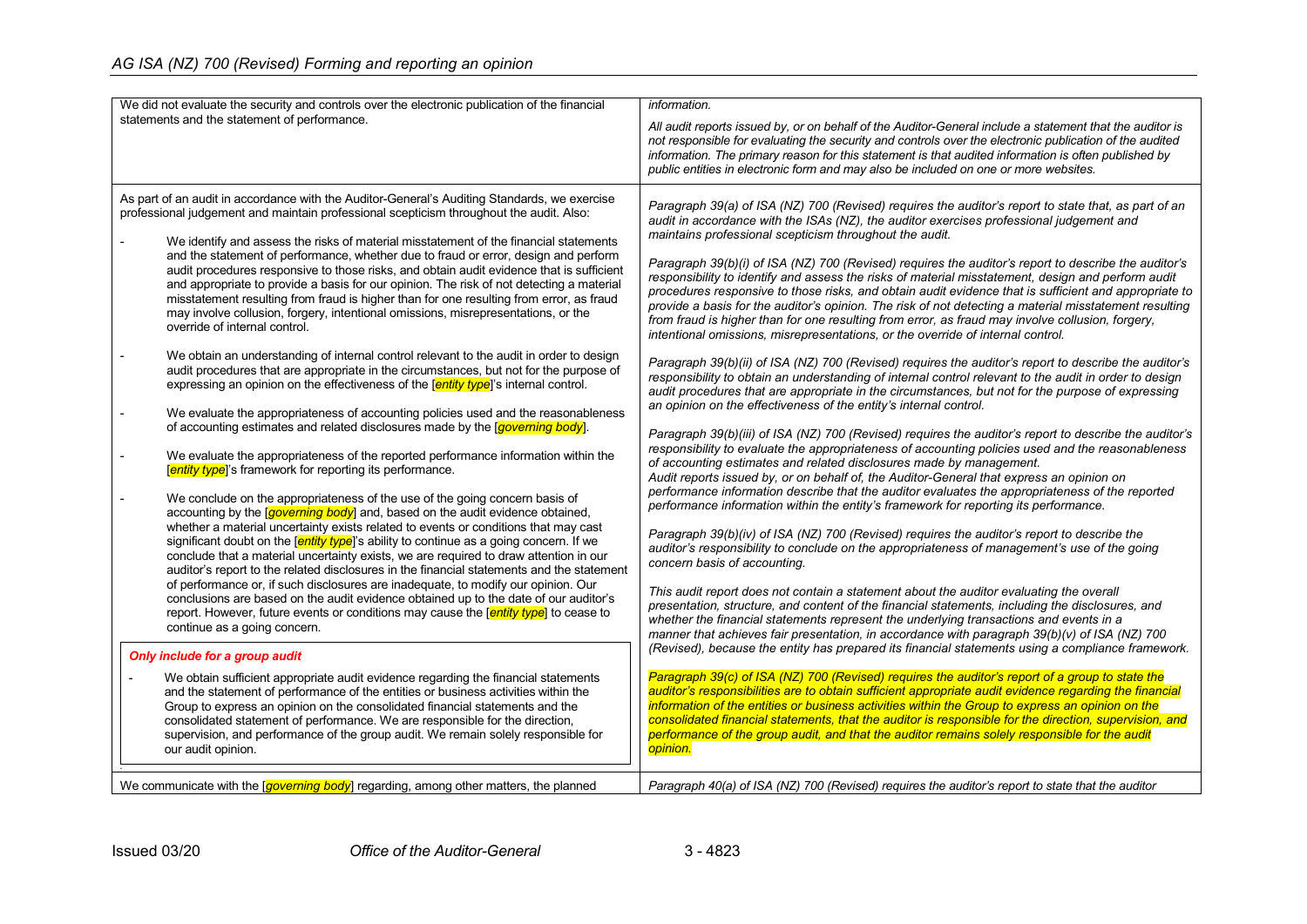| We did not evaluate the security and controls over the electronic publication of the financial<br>statements and the statement of performance.                                                                                                                                                                                                                                                                                                                                                                                                                                                                                                                                                                                                                                                                                                                                                                                                                                                                                                                                                                                                                                                                                                                                                                                                                                                                                                                                                                                                                                                                                                                                                                                                                                                                                                                                                                                                                                                                                                                                                                                                                                                                                                                                                                                                                                                                                                                                                                                                                                                                                                                                                                              | information.<br>All audit reports issued by, or on behalf of the Auditor-General include a statement that the auditor is<br>not responsible for evaluating the security and controls over the electronic publication of the audited                                                                                                                                                                                                                                                                                                                                                                                                                                                                                                                                                                                                                                                                                                                                                                                                                                                                                                                                                                                                                                                                                                                                                                                                                                                                                                                                                                                                                                                                                                                                                                                                                                                                                                                                                                                                                                                                                                                                                                                                                                                                                                                                                                                                                                                                                                                                                                                                                                                                                                                                                                                                                                                                                                                                                                                                                                                                                     |
|-----------------------------------------------------------------------------------------------------------------------------------------------------------------------------------------------------------------------------------------------------------------------------------------------------------------------------------------------------------------------------------------------------------------------------------------------------------------------------------------------------------------------------------------------------------------------------------------------------------------------------------------------------------------------------------------------------------------------------------------------------------------------------------------------------------------------------------------------------------------------------------------------------------------------------------------------------------------------------------------------------------------------------------------------------------------------------------------------------------------------------------------------------------------------------------------------------------------------------------------------------------------------------------------------------------------------------------------------------------------------------------------------------------------------------------------------------------------------------------------------------------------------------------------------------------------------------------------------------------------------------------------------------------------------------------------------------------------------------------------------------------------------------------------------------------------------------------------------------------------------------------------------------------------------------------------------------------------------------------------------------------------------------------------------------------------------------------------------------------------------------------------------------------------------------------------------------------------------------------------------------------------------------------------------------------------------------------------------------------------------------------------------------------------------------------------------------------------------------------------------------------------------------------------------------------------------------------------------------------------------------------------------------------------------------------------------------------------------------|-------------------------------------------------------------------------------------------------------------------------------------------------------------------------------------------------------------------------------------------------------------------------------------------------------------------------------------------------------------------------------------------------------------------------------------------------------------------------------------------------------------------------------------------------------------------------------------------------------------------------------------------------------------------------------------------------------------------------------------------------------------------------------------------------------------------------------------------------------------------------------------------------------------------------------------------------------------------------------------------------------------------------------------------------------------------------------------------------------------------------------------------------------------------------------------------------------------------------------------------------------------------------------------------------------------------------------------------------------------------------------------------------------------------------------------------------------------------------------------------------------------------------------------------------------------------------------------------------------------------------------------------------------------------------------------------------------------------------------------------------------------------------------------------------------------------------------------------------------------------------------------------------------------------------------------------------------------------------------------------------------------------------------------------------------------------------------------------------------------------------------------------------------------------------------------------------------------------------------------------------------------------------------------------------------------------------------------------------------------------------------------------------------------------------------------------------------------------------------------------------------------------------------------------------------------------------------------------------------------------------------------------------------------------------------------------------------------------------------------------------------------------------------------------------------------------------------------------------------------------------------------------------------------------------------------------------------------------------------------------------------------------------------------------------------------------------------------------------------------------------|
|                                                                                                                                                                                                                                                                                                                                                                                                                                                                                                                                                                                                                                                                                                                                                                                                                                                                                                                                                                                                                                                                                                                                                                                                                                                                                                                                                                                                                                                                                                                                                                                                                                                                                                                                                                                                                                                                                                                                                                                                                                                                                                                                                                                                                                                                                                                                                                                                                                                                                                                                                                                                                                                                                                                             | information. The primary reason for this statement is that audited information is often published by<br>public entities in electronic form and may also be included on one or more websites.                                                                                                                                                                                                                                                                                                                                                                                                                                                                                                                                                                                                                                                                                                                                                                                                                                                                                                                                                                                                                                                                                                                                                                                                                                                                                                                                                                                                                                                                                                                                                                                                                                                                                                                                                                                                                                                                                                                                                                                                                                                                                                                                                                                                                                                                                                                                                                                                                                                                                                                                                                                                                                                                                                                                                                                                                                                                                                                            |
| As part of an audit in accordance with the Auditor-General's Auditing Standards, we exercise<br>professional judgement and maintain professional scepticism throughout the audit. Also:<br>We identify and assess the risks of material misstatement of the financial statements<br>and the statement of performance, whether due to fraud or error, design and perform<br>audit procedures responsive to those risks, and obtain audit evidence that is sufficient<br>and appropriate to provide a basis for our opinion. The risk of not detecting a material<br>misstatement resulting from fraud is higher than for one resulting from error, as fraud<br>may involve collusion, forgery, intentional omissions, misrepresentations, or the<br>override of internal control.<br>We obtain an understanding of internal control relevant to the audit in order to design<br>audit procedures that are appropriate in the circumstances, but not for the purpose of<br>expressing an opinion on the effectiveness of the <i>fentity type</i> is internal control.<br>We evaluate the appropriateness of accounting policies used and the reasonableness<br>of accounting estimates and related disclosures made by the [governing body].<br>We evaluate the appropriateness of the reported performance information within the<br><b>Fentity type</b> 's framework for reporting its performance.<br>We conclude on the appropriateness of the use of the going concern basis of<br>accounting by the [governing body] and, based on the audit evidence obtained,<br>whether a material uncertainty exists related to events or conditions that may cast<br>significant doubt on the [ <i>entity type</i> ]'s ability to continue as a going concern. If we<br>conclude that a material uncertainty exists, we are required to draw attention in our<br>auditor's report to the related disclosures in the financial statements and the statement<br>of performance or, if such disclosures are inadequate, to modify our opinion. Our<br>conclusions are based on the audit evidence obtained up to the date of our auditor's<br>report. However, future events or conditions may cause the [entity type] to cease to<br>continue as a going concern.<br>Only include for a group audit<br>We obtain sufficient appropriate audit evidence regarding the financial statements<br>and the statement of performance of the entities or business activities within the<br>Group to express an opinion on the consolidated financial statements and the<br>consolidated statement of performance. We are responsible for the direction,<br>supervision, and performance of the group audit. We remain solely responsible for | Paragraph 39(a) of ISA (NZ) 700 (Revised) requires the auditor's report to state that, as part of an<br>audit in accordance with the ISAs (NZ), the auditor exercises professional judgement and<br>maintains professional scepticism throughout the audit.<br>Paragraph 39(b)(i) of ISA (NZ) 700 (Revised) requires the auditor's report to describe the auditor's<br>responsibility to identify and assess the risks of material misstatement, design and perform audit<br>procedures responsive to those risks, and obtain audit evidence that is sufficient and appropriate to<br>provide a basis for the auditor's opinion. The risk of not detecting a material misstatement resulting<br>from fraud is higher than for one resulting from error, as fraud may involve collusion, forgery,<br>intentional omissions, misrepresentations, or the override of internal control.<br>Paragraph 39(b)(ii) of ISA (NZ) 700 (Revised) requires the auditor's report to describe the auditor's<br>responsibility to obtain an understanding of internal control relevant to the audit in order to design<br>audit procedures that are appropriate in the circumstances, but not for the purpose of expressing<br>an opinion on the effectiveness of the entity's internal control.<br>Paragraph 39(b)(iii) of ISA (NZ) 700 (Revised) requires the auditor's report to describe the auditor's<br>responsibility to evaluate the appropriateness of accounting policies used and the reasonableness<br>of accounting estimates and related disclosures made by management.<br>Audit reports issued by, or on behalf of, the Auditor-General that express an opinion on<br>performance information describe that the auditor evaluates the appropriateness of the reported<br>performance information within the entity's framework for reporting its performance.<br>Paragraph 39(b)(iv) of ISA (NZ) 700 (Revised) requires the auditor's report to describe the<br>auditor's responsibility to conclude on the appropriateness of management's use of the going<br>concern basis of accounting.<br>This audit report does not contain a statement about the auditor evaluating the overall<br>presentation, structure, and content of the financial statements, including the disclosures, and<br>whether the financial statements represent the underlying transactions and events in a<br>manner that achieves fair presentation, in accordance with paragraph 39(b)(v) of ISA (NZ) 700<br>(Revised), because the entity has prepared its financial statements using a compliance framework.<br>Paragraph 39(c) of ISA (NZ) 700 (Revised) requires the auditor's report of a group to state the<br>auditor's responsibilities are to obtain sufficient appropriate audit evidence regarding the financial<br>information of the entities or business activities within the Group to express an opinion on the<br>consolidated financial statements, that the auditor is responsible for the direction, supervision, and<br>performance of the group audit, and that the auditor remains solely responsible for the audit |
| our audit opinion.<br>We communicate with the $\sqrt{governing}$ body regarding, among other matters, the planned                                                                                                                                                                                                                                                                                                                                                                                                                                                                                                                                                                                                                                                                                                                                                                                                                                                                                                                                                                                                                                                                                                                                                                                                                                                                                                                                                                                                                                                                                                                                                                                                                                                                                                                                                                                                                                                                                                                                                                                                                                                                                                                                                                                                                                                                                                                                                                                                                                                                                                                                                                                                           | opinion.<br>Paragraph 40(a) of ISA (NZ) 700 (Revised) requires the auditor's report to state that the auditor                                                                                                                                                                                                                                                                                                                                                                                                                                                                                                                                                                                                                                                                                                                                                                                                                                                                                                                                                                                                                                                                                                                                                                                                                                                                                                                                                                                                                                                                                                                                                                                                                                                                                                                                                                                                                                                                                                                                                                                                                                                                                                                                                                                                                                                                                                                                                                                                                                                                                                                                                                                                                                                                                                                                                                                                                                                                                                                                                                                                           |
|                                                                                                                                                                                                                                                                                                                                                                                                                                                                                                                                                                                                                                                                                                                                                                                                                                                                                                                                                                                                                                                                                                                                                                                                                                                                                                                                                                                                                                                                                                                                                                                                                                                                                                                                                                                                                                                                                                                                                                                                                                                                                                                                                                                                                                                                                                                                                                                                                                                                                                                                                                                                                                                                                                                             |                                                                                                                                                                                                                                                                                                                                                                                                                                                                                                                                                                                                                                                                                                                                                                                                                                                                                                                                                                                                                                                                                                                                                                                                                                                                                                                                                                                                                                                                                                                                                                                                                                                                                                                                                                                                                                                                                                                                                                                                                                                                                                                                                                                                                                                                                                                                                                                                                                                                                                                                                                                                                                                                                                                                                                                                                                                                                                                                                                                                                                                                                                                         |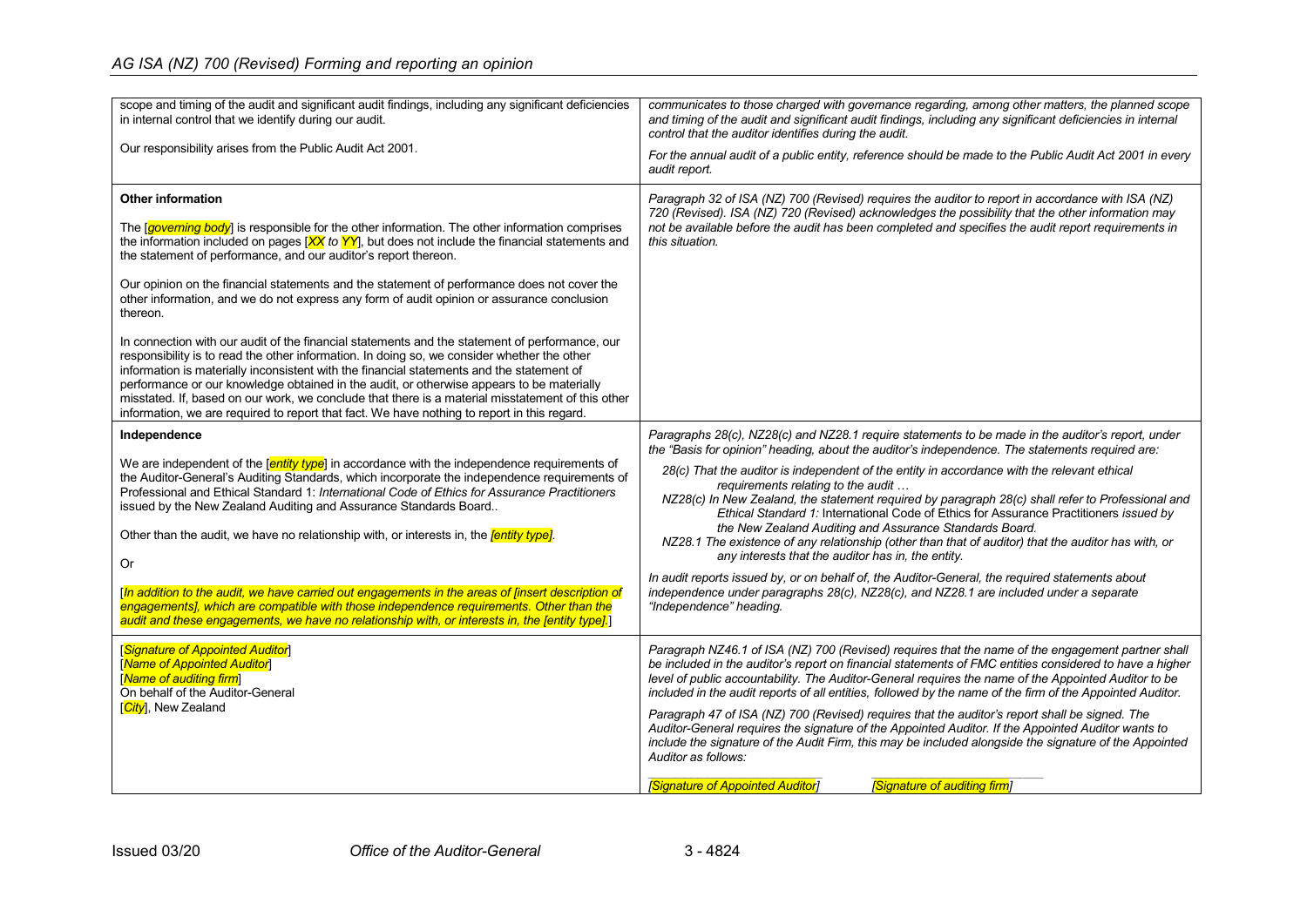| scope and timing of the audit and significant audit findings, including any significant deficiencies<br>in internal control that we identify during our audit.<br>Our responsibility arises from the Public Audit Act 2001.                                                                                                                                                                                                                                                                                                                                                                                                                                                                                                                                                                                                                                                                                                                                                                                                                                                                                     | communicates to those charged with governance regarding, among other matters, the planned scope<br>and timing of the audit and significant audit findings, including any significant deficiencies in internal<br>control that the auditor identifies during the audit.<br>For the annual audit of a public entity, reference should be made to the Public Audit Act 2001 in every<br>audit report.                                                                                                                                                                                                                                                                                                                                                                                                                                                                                                                                                                                       |
|-----------------------------------------------------------------------------------------------------------------------------------------------------------------------------------------------------------------------------------------------------------------------------------------------------------------------------------------------------------------------------------------------------------------------------------------------------------------------------------------------------------------------------------------------------------------------------------------------------------------------------------------------------------------------------------------------------------------------------------------------------------------------------------------------------------------------------------------------------------------------------------------------------------------------------------------------------------------------------------------------------------------------------------------------------------------------------------------------------------------|------------------------------------------------------------------------------------------------------------------------------------------------------------------------------------------------------------------------------------------------------------------------------------------------------------------------------------------------------------------------------------------------------------------------------------------------------------------------------------------------------------------------------------------------------------------------------------------------------------------------------------------------------------------------------------------------------------------------------------------------------------------------------------------------------------------------------------------------------------------------------------------------------------------------------------------------------------------------------------------|
| <b>Other information</b><br>The <i>governing body</i> is responsible for the other information. The other information comprises<br>the information included on pages $[XX]$ to YY, but does not include the financial statements and<br>the statement of performance, and our auditor's report thereon.<br>Our opinion on the financial statements and the statement of performance does not cover the<br>other information, and we do not express any form of audit opinion or assurance conclusion<br>thereon.<br>In connection with our audit of the financial statements and the statement of performance, our<br>responsibility is to read the other information. In doing so, we consider whether the other<br>information is materially inconsistent with the financial statements and the statement of<br>performance or our knowledge obtained in the audit, or otherwise appears to be materially<br>misstated. If, based on our work, we conclude that there is a material misstatement of this other<br>information, we are required to report that fact. We have nothing to report in this regard. | Paragraph 32 of ISA (NZ) 700 (Revised) requires the auditor to report in accordance with ISA (NZ)<br>720 (Revised). ISA (NZ) 720 (Revised) acknowledges the possibility that the other information may<br>not be available before the audit has been completed and specifies the audit report requirements in<br>this situation.                                                                                                                                                                                                                                                                                                                                                                                                                                                                                                                                                                                                                                                         |
| Independence<br>We are independent of the [entity type] in accordance with the independence requirements of<br>the Auditor-General's Auditing Standards, which incorporate the independence requirements of<br>Professional and Ethical Standard 1: International Code of Ethics for Assurance Practitioners<br>issued by the New Zealand Auditing and Assurance Standards Board<br>Other than the audit, we have no relationship with, or interests in, the <i>fentity type]</i> .<br>Or<br>[In addition to the audit, we have carried out engagements in the areas of [insert description of<br>engagements], which are compatible with those independence requirements. Other than the<br>audit and these engagements, we have no relationship with, or interests in, the [entity type].                                                                                                                                                                                                                                                                                                                     | Paragraphs 28(c), NZ28(c) and NZ28.1 require statements to be made in the auditor's report, under<br>the "Basis for opinion" heading, about the auditor's independence. The statements required are:<br>28(c) That the auditor is independent of the entity in accordance with the relevant ethical<br>requirements relating to the audit<br>NZ28(c) In New Zealand, the statement required by paragraph 28(c) shall refer to Professional and<br>Ethical Standard 1: International Code of Ethics for Assurance Practitioners issued by<br>the New Zealand Auditing and Assurance Standards Board.<br>NZ28.1 The existence of any relationship (other than that of auditor) that the auditor has with, or<br>any interests that the auditor has in, the entity.<br>In audit reports issued by, or on behalf of, the Auditor-General, the required statements about<br>independence under paragraphs 28(c), NZ28(c), and NZ28.1 are included under a separate<br>"Independence" heading. |
| <b>Signature of Appointed Auditor</b><br>[Name of Appointed Auditor]<br>[Name of auditing firm]<br>On behalf of the Auditor-General<br>[City], New Zealand                                                                                                                                                                                                                                                                                                                                                                                                                                                                                                                                                                                                                                                                                                                                                                                                                                                                                                                                                      | Paragraph NZ46.1 of ISA (NZ) 700 (Revised) requires that the name of the engagement partner shall<br>be included in the auditor's report on financial statements of FMC entities considered to have a higher<br>level of public accountability. The Auditor-General requires the name of the Appointed Auditor to be<br>included in the audit reports of all entities, followed by the name of the firm of the Appointed Auditor.<br>Paragraph 47 of ISA (NZ) 700 (Revised) requires that the auditor's report shall be signed. The<br>Auditor-General requires the signature of the Appointed Auditor. If the Appointed Auditor wants to<br>include the signature of the Audit Firm, this may be included alongside the signature of the Appointed<br>Auditor as follows:<br>[Signature of Appointed Auditor]<br>[Signature of auditing firm]                                                                                                                                           |